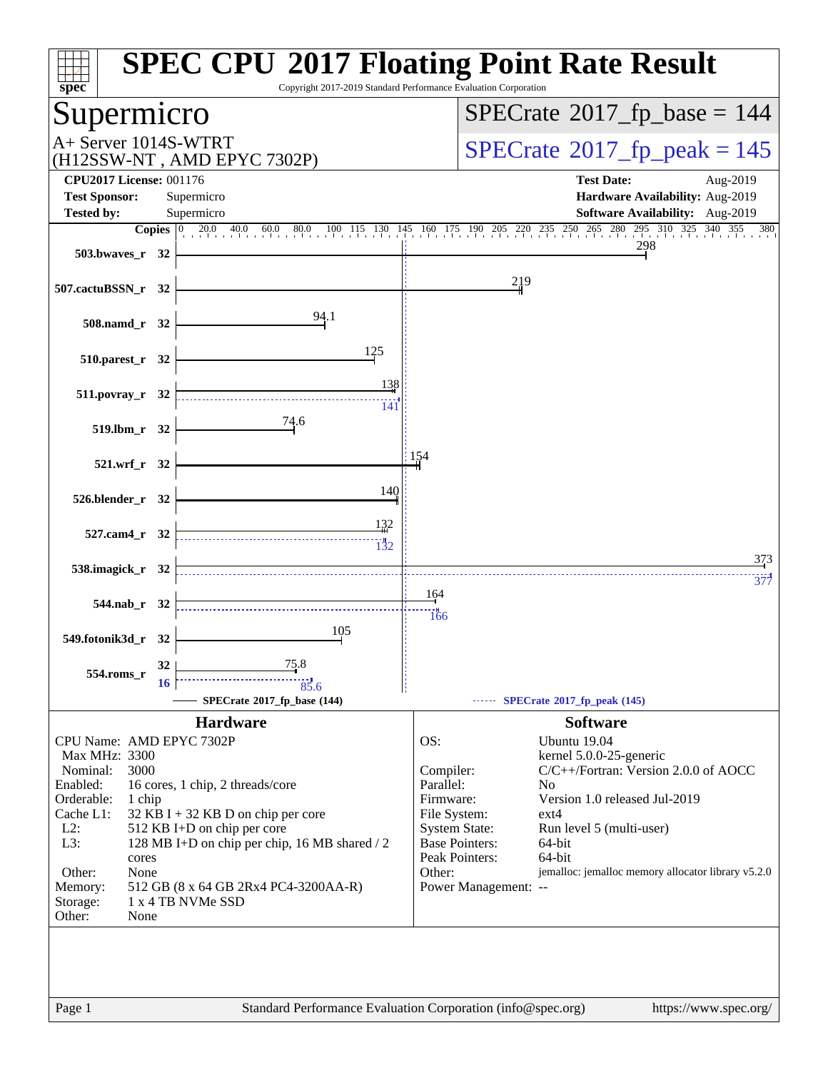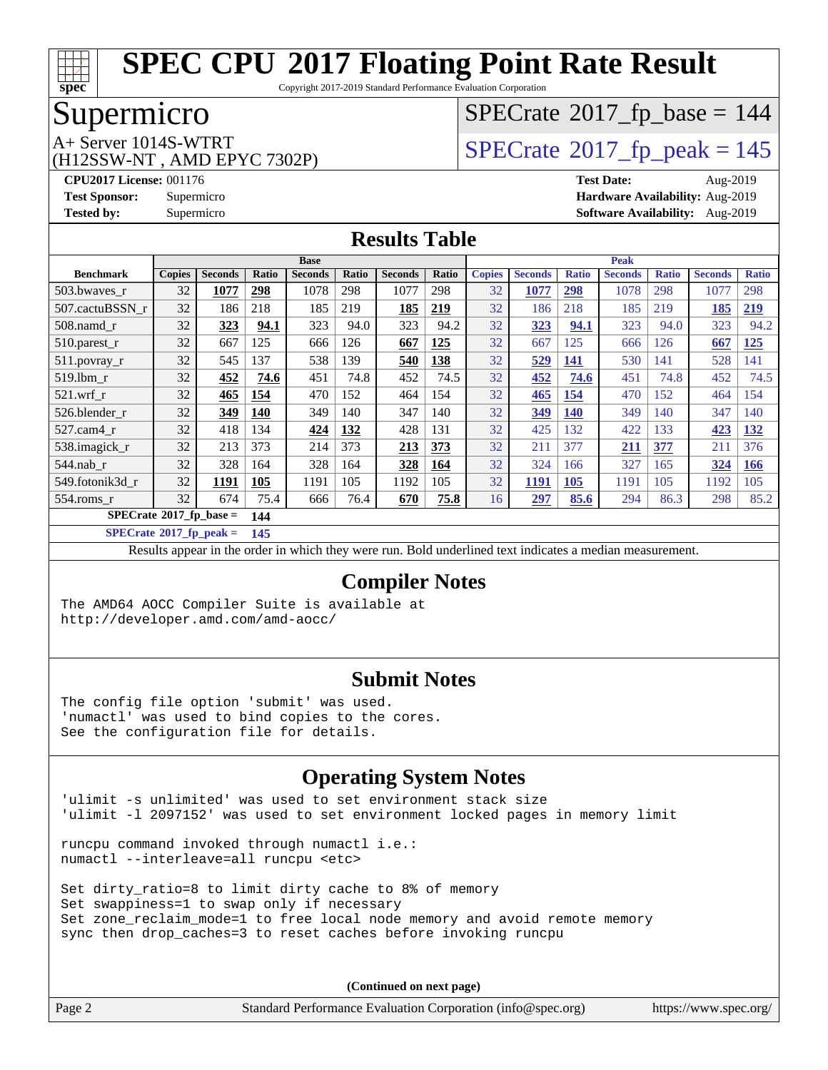

Copyright 2017-2019 Standard Performance Evaluation Corporation

## Supermicro

(H12SSW-NT , AMD EPYC 7302P)

# $SPECrate$ <sup>®</sup>[2017\\_fp\\_base =](http://www.spec.org/auto/cpu2017/Docs/result-fields.html#SPECrate2017fpbase) 144

A+ Server 1014S-WTRT<br>
(H12SSW-NT AMD EPYC 7302P) [SPECrate](http://www.spec.org/auto/cpu2017/Docs/result-fields.html#SPECrate2017fppeak)®[2017\\_fp\\_peak = 1](http://www.spec.org/auto/cpu2017/Docs/result-fields.html#SPECrate2017fppeak)45

**[CPU2017 License:](http://www.spec.org/auto/cpu2017/Docs/result-fields.html#CPU2017License)** 001176 **[Test Date:](http://www.spec.org/auto/cpu2017/Docs/result-fields.html#TestDate)** Aug-2019 **[Test Sponsor:](http://www.spec.org/auto/cpu2017/Docs/result-fields.html#TestSponsor)** Supermicro **[Hardware Availability:](http://www.spec.org/auto/cpu2017/Docs/result-fields.html#HardwareAvailability)** Aug-2019 **[Tested by:](http://www.spec.org/auto/cpu2017/Docs/result-fields.html#Testedby)** Supermicro **[Software Availability:](http://www.spec.org/auto/cpu2017/Docs/result-fields.html#SoftwareAvailability)** Aug-2019

#### **[Results Table](http://www.spec.org/auto/cpu2017/Docs/result-fields.html#ResultsTable)**

|                                        | <b>Base</b>   |                |            |                |       | <b>Peak</b>    |            |               |                |              |                |              |                |              |
|----------------------------------------|---------------|----------------|------------|----------------|-------|----------------|------------|---------------|----------------|--------------|----------------|--------------|----------------|--------------|
| <b>Benchmark</b>                       | <b>Copies</b> | <b>Seconds</b> | Ratio      | <b>Seconds</b> | Ratio | <b>Seconds</b> | Ratio      | <b>Copies</b> | <b>Seconds</b> | <b>Ratio</b> | <b>Seconds</b> | <b>Ratio</b> | <b>Seconds</b> | <b>Ratio</b> |
| 503.bwayes r                           | 32            | 1077           | <u>298</u> | 1078           | 298   | 1077           | 298        | 32            | 1077           | <u>298</u>   | 1078           | 298          | 1077           | 298          |
| 507.cactuBSSN r                        | 32            | 186            | 218        | 185            | 219   | 185            | 219        | 32            | 186            | 218          | 185            | 219          | 185            | 219          |
| $508$ .namd $r$                        | 32            | 323            | 94.1       | 323            | 94.0  | 323            | 94.2       | 32            | 323            | 94.1         | 323            | 94.0         | 323            | 94.2         |
| $510.parest_r$                         | 32            | 667            | 125        | 666            | 126   | 667            | 125        | 32            | 667            | 125          | 666            | 126          | 667            | 125          |
| 511.povray_r                           | 32            | 545            | 137        | 538            | 139   | 540            | <b>138</b> | 32            | 529            | <u>141</u>   | 530            | 141          | 528            | 141          |
| 519.1bm r                              | 32            | 452            | 74.6       | 451            | 74.8  | 452            | 74.5       | 32            | 452            | 74.6         | 451            | 74.8         | 452            | 74.5         |
| $521$ .wrf r                           | 32            | 465            | 154        | 470            | 152   | 464            | 154        | 32            | 465            | 154          | 470            | 152          | 464            | 154          |
| 526.blender r                          | 32            | 349            | 140        | 349            | 140   | 347            | 140        | 32            | 349            | <b>140</b>   | 349            | 140          | 347            | 140          |
| 527.cam4 r                             | 32            | 418            | 134        | 424            | 132   | 428            | 131        | 32            | 425            | 132          | 422            | 133          | 423            | <u>132</u>   |
| 538.imagick_r                          | 32            | 213            | 373        | 214            | 373   | 213            | 373        | 32            | 211            | 377          | <u>211</u>     | 377          | 211            | 376          |
| $544$ .nab r                           | 32            | 328            | 164        | 328            | 164   | 328            | 164        | 32            | 324            | 166          | 327            | 165          | 324            | 166          |
| 549.fotonik3d r                        | 32            | 1191           | 105        | 1191           | 105   | 1192           | 105        | 32            | 1191           | 105          | 1191           | 105          | 1192           | 105          |
| $554$ .roms r                          | 32            | 674            | 75.4       | 666            | 76.4  | 670            | 75.8       | 16            | 297            | 85.6         | 294            | 86.3         | 298            | 85.2         |
| $SPECrate$ <sup>®</sup> 2017_fp_base = |               |                | 144        |                |       |                |            |               |                |              |                |              |                |              |

**[SPECrate](http://www.spec.org/auto/cpu2017/Docs/result-fields.html#SPECrate2017fppeak)[2017\\_fp\\_peak =](http://www.spec.org/auto/cpu2017/Docs/result-fields.html#SPECrate2017fppeak) 145**

Results appear in the [order in which they were run.](http://www.spec.org/auto/cpu2017/Docs/result-fields.html#RunOrder) Bold underlined text [indicates a median measurement.](http://www.spec.org/auto/cpu2017/Docs/result-fields.html#Median)

#### **[Compiler Notes](http://www.spec.org/auto/cpu2017/Docs/result-fields.html#CompilerNotes)**

The AMD64 AOCC Compiler Suite is available at <http://developer.amd.com/amd-aocc/>

#### **[Submit Notes](http://www.spec.org/auto/cpu2017/Docs/result-fields.html#SubmitNotes)**

The config file option 'submit' was used. 'numactl' was used to bind copies to the cores. See the configuration file for details.

#### **[Operating System Notes](http://www.spec.org/auto/cpu2017/Docs/result-fields.html#OperatingSystemNotes)**

'ulimit -s unlimited' was used to set environment stack size 'ulimit -l 2097152' was used to set environment locked pages in memory limit

runcpu command invoked through numactl i.e.: numactl --interleave=all runcpu <etc>

Set dirty\_ratio=8 to limit dirty cache to 8% of memory Set swappiness=1 to swap only if necessary Set zone\_reclaim\_mode=1 to free local node memory and avoid remote memory sync then drop\_caches=3 to reset caches before invoking runcpu

**(Continued on next page)**

| Page 2 | Standard Performance Evaluation Corporation (info@spec.org) | https://www.spec.org/ |
|--------|-------------------------------------------------------------|-----------------------|
|        |                                                             |                       |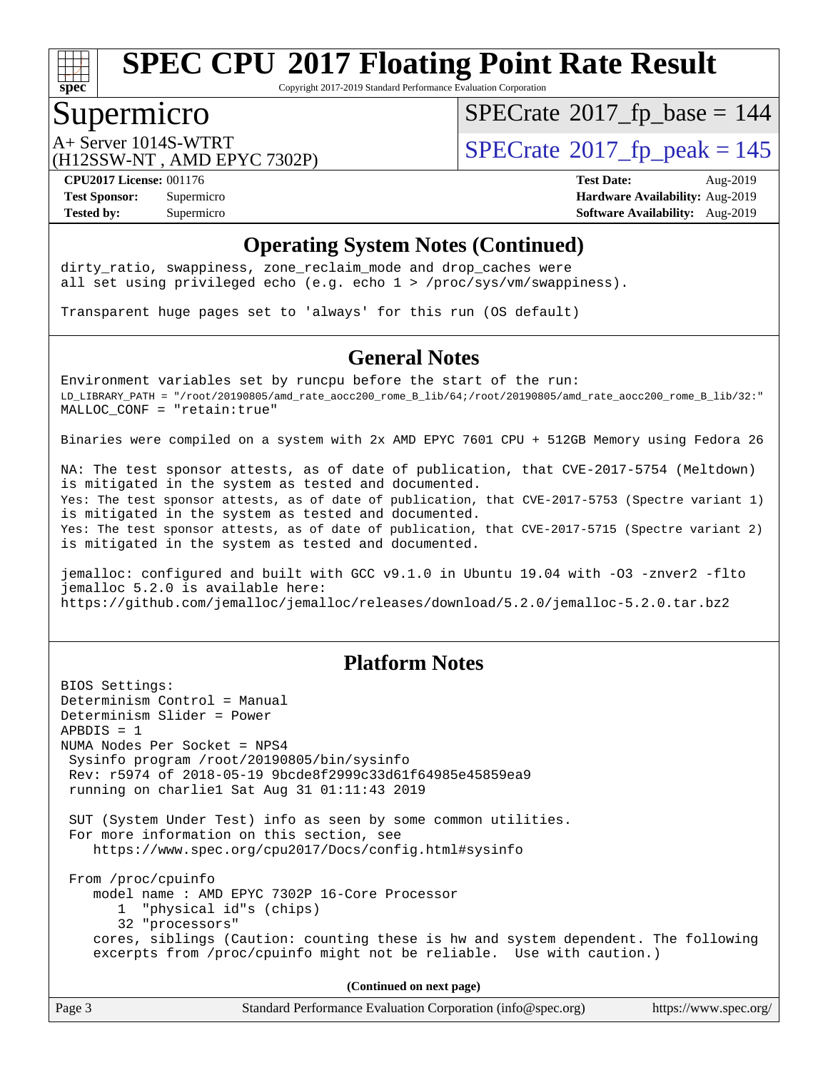

Copyright 2017-2019 Standard Performance Evaluation Corporation

## Supermicro

 $SPECrate$ <sup>®</sup>[2017\\_fp\\_base =](http://www.spec.org/auto/cpu2017/Docs/result-fields.html#SPECrate2017fpbase) 144

(H12SSW-NT , AMD EPYC 7302P)

 $A+$  Server 1014S-WTRT  $\begin{array}{c|c}\n\text{A+Server 1014S-WTRT} & & \text{SPECrate} \n\hline\n\text{B+Server 2017-fp_peak} & = 145\n\end{array}$  $\begin{array}{c|c}\n\text{A+Server 1014S-WTRT} & & \text{SPECrate} \n\hline\n\text{B+Server 2017-fp_peak} & = 145\n\end{array}$  $\begin{array}{c|c}\n\text{A+Server 1014S-WTRT} & & \text{SPECrate} \n\hline\n\text{B+Server 2017-fp_peak} & = 145\n\end{array}$ 

**[CPU2017 License:](http://www.spec.org/auto/cpu2017/Docs/result-fields.html#CPU2017License)** 001176 **[Test Date:](http://www.spec.org/auto/cpu2017/Docs/result-fields.html#TestDate)** Aug-2019 **[Test Sponsor:](http://www.spec.org/auto/cpu2017/Docs/result-fields.html#TestSponsor)** Supermicro **[Hardware Availability:](http://www.spec.org/auto/cpu2017/Docs/result-fields.html#HardwareAvailability)** Aug-2019 **[Tested by:](http://www.spec.org/auto/cpu2017/Docs/result-fields.html#Testedby)** Supermicro **Supermicro [Software Availability:](http://www.spec.org/auto/cpu2017/Docs/result-fields.html#SoftwareAvailability)** Aug-2019

#### **[Operating System Notes \(Continued\)](http://www.spec.org/auto/cpu2017/Docs/result-fields.html#OperatingSystemNotes)**

dirty\_ratio, swappiness, zone\_reclaim\_mode and drop caches were all set using privileged echo (e.g. echo 1 > /proc/sys/vm/swappiness).

Transparent huge pages set to 'always' for this run (OS default)

#### **[General Notes](http://www.spec.org/auto/cpu2017/Docs/result-fields.html#GeneralNotes)**

Environment variables set by runcpu before the start of the run: LD\_LIBRARY\_PATH = "/root/20190805/amd\_rate\_aocc200\_rome\_B\_lib/64;/root/20190805/amd\_rate\_aocc200\_rome\_B\_lib/32:" MALLOC\_CONF = "retain:true"

Binaries were compiled on a system with 2x AMD EPYC 7601 CPU + 512GB Memory using Fedora 26

NA: The test sponsor attests, as of date of publication, that CVE-2017-5754 (Meltdown) is mitigated in the system as tested and documented. Yes: The test sponsor attests, as of date of publication, that CVE-2017-5753 (Spectre variant 1) is mitigated in the system as tested and documented. Yes: The test sponsor attests, as of date of publication, that CVE-2017-5715 (Spectre variant 2) is mitigated in the system as tested and documented.

jemalloc: configured and built with GCC v9.1.0 in Ubuntu 19.04 with -O3 -znver2 -flto jemalloc 5.2.0 is available here: <https://github.com/jemalloc/jemalloc/releases/download/5.2.0/jemalloc-5.2.0.tar.bz2>

#### **[Platform Notes](http://www.spec.org/auto/cpu2017/Docs/result-fields.html#PlatformNotes)**

BIOS Settings: Determinism Control = Manual Determinism Slider = Power APBDIS = 1 NUMA Nodes Per Socket = NPS4 Sysinfo program /root/20190805/bin/sysinfo Rev: r5974 of 2018-05-19 9bcde8f2999c33d61f64985e45859ea9 running on charlie1 Sat Aug 31 01:11:43 2019 SUT (System Under Test) info as seen by some common utilities. For more information on this section, see <https://www.spec.org/cpu2017/Docs/config.html#sysinfo> From /proc/cpuinfo model name : AMD EPYC 7302P 16-Core Processor 1 "physical id"s (chips) 32 "processors" cores, siblings (Caution: counting these is hw and system dependent. The following excerpts from /proc/cpuinfo might not be reliable. Use with caution.) **(Continued on next page)**

Page 3 Standard Performance Evaluation Corporation [\(info@spec.org\)](mailto:info@spec.org) <https://www.spec.org/>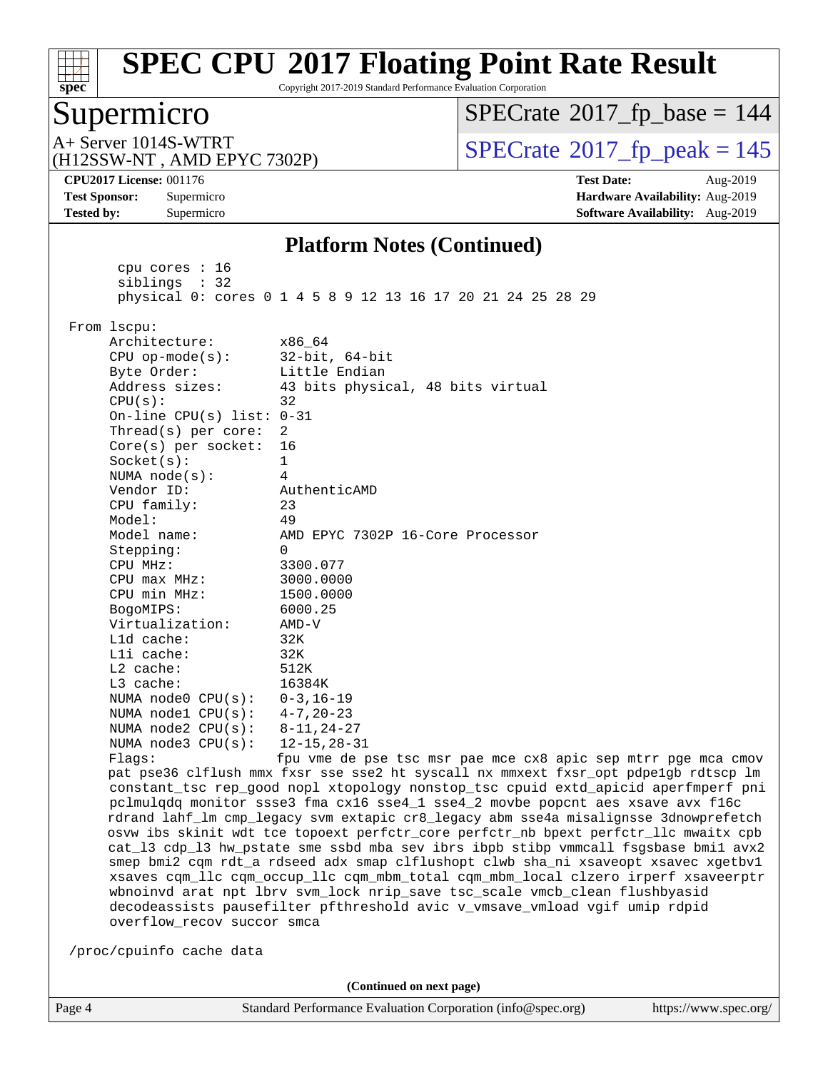

Copyright 2017-2019 Standard Performance Evaluation Corporation

#### Supermicro

 $SPECTate$ <sup>®</sup>[2017\\_fp\\_base =](http://www.spec.org/auto/cpu2017/Docs/result-fields.html#SPECrate2017fpbase) 144

(H12SSW-NT , AMD EPYC 7302P)

 $A+$  Server 1014S-WTRT  $\begin{array}{c|c}\n\text{A+ Server 1014S-WTRT} & & \text{SPECrate} \n\hline\n\text{B+ Server 2017_fp}\n\end{array}$  $\begin{array}{c|c}\n\text{A+ Server 1014S-WTRT} & & \text{SPECrate} \n\hline\n\text{B+ Server 2017_fp}\n\end{array}$  $\begin{array}{c|c}\n\text{A+ Server 1014S-WTRT} & & \text{SPECrate} \n\hline\n\text{B+ Server 2017_fp}\n\end{array}$ 

**[CPU2017 License:](http://www.spec.org/auto/cpu2017/Docs/result-fields.html#CPU2017License)** 001176 **[Test Date:](http://www.spec.org/auto/cpu2017/Docs/result-fields.html#TestDate)** Aug-2019 **[Test Sponsor:](http://www.spec.org/auto/cpu2017/Docs/result-fields.html#TestSponsor)** Supermicro **[Hardware Availability:](http://www.spec.org/auto/cpu2017/Docs/result-fields.html#HardwareAvailability)** Aug-2019 **[Tested by:](http://www.spec.org/auto/cpu2017/Docs/result-fields.html#Testedby)** Supermicro **Supermicro [Software Availability:](http://www.spec.org/auto/cpu2017/Docs/result-fields.html#SoftwareAvailability)** Aug-2019

#### **[Platform Notes \(Continued\)](http://www.spec.org/auto/cpu2017/Docs/result-fields.html#PlatformNotes)**

 cpu cores : 16 siblings : 32 physical 0: cores 0 1 4 5 8 9 12 13 16 17 20 21 24 25 28 29 From lscpu: Architecture: x86\_64 CPU op-mode(s): 32-bit, 64-bit Byte Order: Little Endian Address sizes: 43 bits physical, 48 bits virtual  $CPU(s):$  32 On-line CPU(s) list: 0-31 Thread(s) per core: 2 Core(s) per socket: 16 Socket(s): 1 NUMA node(s): 4 Vendor ID: AuthenticAMD CPU family: 23 Model: 49 Model name: AMD EPYC 7302P 16-Core Processor Stepping: 0 CPU MHz: 3300.077 CPU max MHz: 3000.0000 CPU min MHz: 1500.0000 BogoMIPS: 6000.25 Virtualization: AMD-V L1d cache: 32K L1i cache: 32K L2 cache: 512K L3 cache: 16384K NUMA node0 CPU(s): 0-3,16-19 NUMA node1 CPU(s): 4-7,20-23 NUMA node2 CPU(s): 8-11,24-27 NUMA node3 CPU(s): 12-15,28-31 Flags: fpu vme de pse tsc msr pae mce cx8 apic sep mtrr pge mca cmov pat pse36 clflush mmx fxsr sse sse2 ht syscall nx mmxext fxsr\_opt pdpe1gb rdtscp lm constant\_tsc rep\_good nopl xtopology nonstop\_tsc cpuid extd\_apicid aperfmperf pni pclmulqdq monitor ssse3 fma cx16 sse4\_1 sse4\_2 movbe popcnt aes xsave avx f16c rdrand lahf\_lm cmp\_legacy svm extapic cr8\_legacy abm sse4a misalignsse 3dnowprefetch osvw ibs skinit wdt tce topoext perfctr\_core perfctr\_nb bpext perfctr\_llc mwaitx cpb cat\_l3 cdp\_l3 hw\_pstate sme ssbd mba sev ibrs ibpb stibp vmmcall fsgsbase bmi1 avx2 smep bmi2 cqm rdt\_a rdseed adx smap clflushopt clwb sha\_ni xsaveopt xsavec xgetbv1 xsaves cqm\_llc cqm\_occup\_llc cqm\_mbm\_total cqm\_mbm\_local clzero irperf xsaveerptr wbnoinvd arat npt lbrv svm\_lock nrip\_save tsc\_scale vmcb\_clean flushbyasid decodeassists pausefilter pfthreshold avic v\_vmsave\_vmload vgif umip rdpid overflow\_recov succor smca /proc/cpuinfo cache data **(Continued on next page)**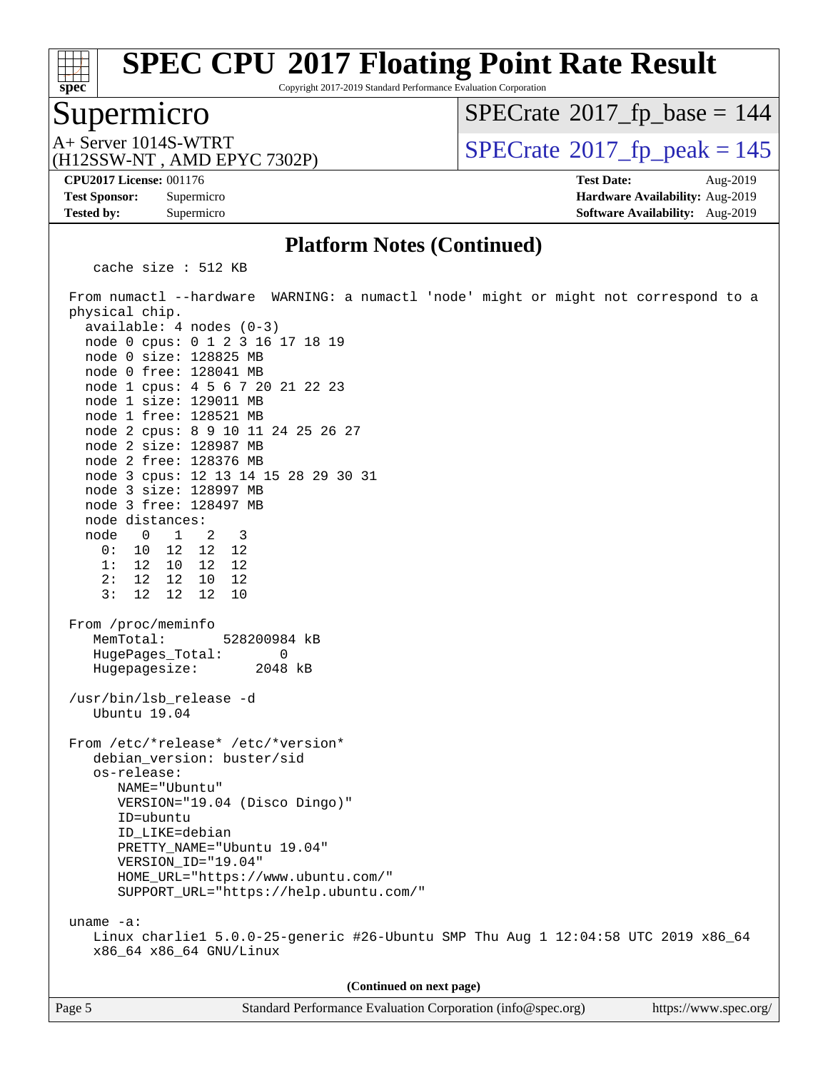

Copyright 2017-2019 Standard Performance Evaluation Corporation

#### Supermicro

 $SPECTate$ <sup>®</sup>[2017\\_fp\\_base =](http://www.spec.org/auto/cpu2017/Docs/result-fields.html#SPECrate2017fpbase) 144

(H12SSW-NT , AMD EPYC 7302P)

 $A+$  Server 1014S-WTRT<br>
(H12SSW-NT AMD EPYC 7302P) [SPECrate](http://www.spec.org/auto/cpu2017/Docs/result-fields.html#SPECrate2017fppeak)®[2017\\_fp\\_peak = 1](http://www.spec.org/auto/cpu2017/Docs/result-fields.html#SPECrate2017fppeak)45

**[CPU2017 License:](http://www.spec.org/auto/cpu2017/Docs/result-fields.html#CPU2017License)** 001176 **[Test Date:](http://www.spec.org/auto/cpu2017/Docs/result-fields.html#TestDate)** Aug-2019 **[Test Sponsor:](http://www.spec.org/auto/cpu2017/Docs/result-fields.html#TestSponsor)** Supermicro **[Hardware Availability:](http://www.spec.org/auto/cpu2017/Docs/result-fields.html#HardwareAvailability)** Aug-2019 **[Tested by:](http://www.spec.org/auto/cpu2017/Docs/result-fields.html#Testedby)** Supermicro **[Software Availability:](http://www.spec.org/auto/cpu2017/Docs/result-fields.html#SoftwareAvailability)** Aug-2019

#### **[Platform Notes \(Continued\)](http://www.spec.org/auto/cpu2017/Docs/result-fields.html#PlatformNotes)**

cache size : 512 KB

 From numactl --hardware WARNING: a numactl 'node' might or might not correspond to a physical chip. available: 4 nodes (0-3) node 0 cpus: 0 1 2 3 16 17 18 19 node 0 size: 128825 MB node 0 free: 128041 MB node 1 cpus: 4 5 6 7 20 21 22 23 node 1 size: 129011 MB node 1 free: 128521 MB node 2 cpus: 8 9 10 11 24 25 26 27 node 2 size: 128987 MB node 2 free: 128376 MB node 3 cpus: 12 13 14 15 28 29 30 31 node 3 size: 128997 MB node 3 free: 128497 MB node distances: node 0 1 2 3 0: 10 12 12 12 1: 12 10 12 12 2: 12 12 10 12 3: 12 12 12 10 From /proc/meminfo MemTotal: 528200984 kB HugePages\_Total: 0 Hugepagesize: 2048 kB /usr/bin/lsb\_release -d Ubuntu 19.04 From /etc/\*release\* /etc/\*version\* debian\_version: buster/sid os-release: NAME="Ubuntu" VERSION="19.04 (Disco Dingo)" ID=ubuntu ID\_LIKE=debian PRETTY\_NAME="Ubuntu 19.04" VERSION\_ID="19.04" HOME\_URL="<https://www.ubuntu.com/"> SUPPORT\_URL="<https://help.ubuntu.com/"> uname -a: Linux charlie1 5.0.0-25-generic #26-Ubuntu SMP Thu Aug 1 12:04:58 UTC 2019 x86\_64 x86\_64 x86\_64 GNU/Linux **(Continued on next page)**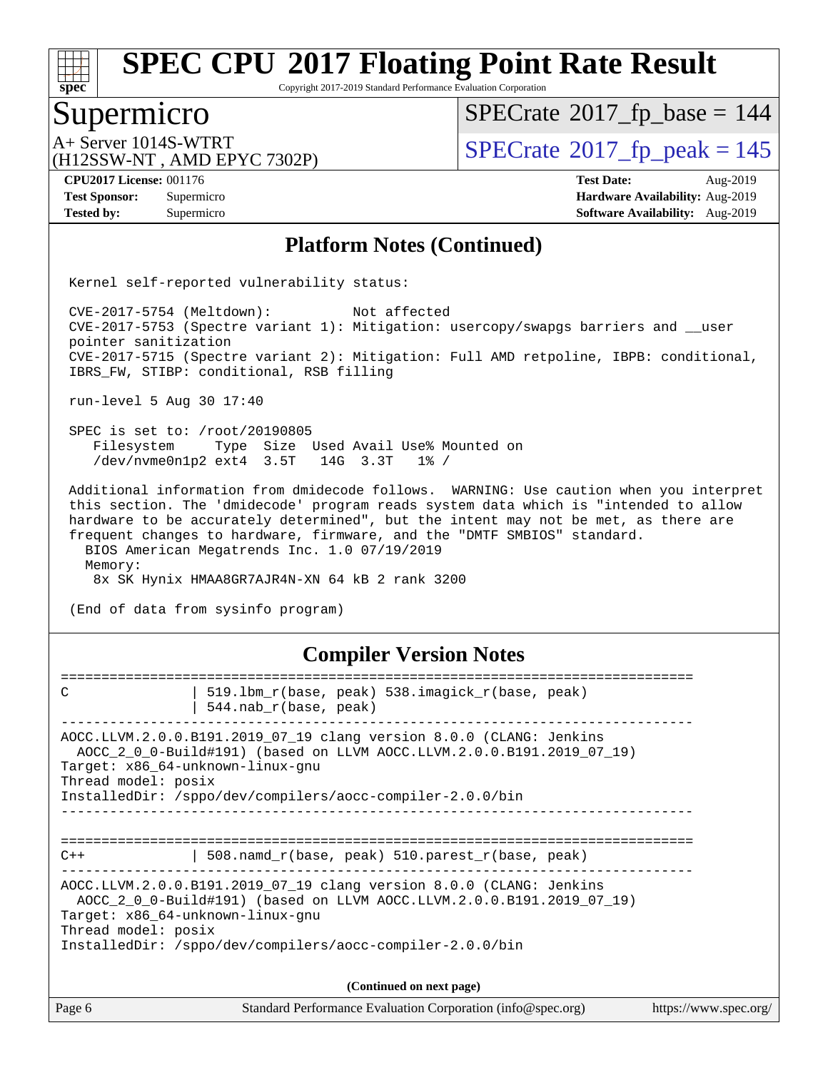

Copyright 2017-2019 Standard Performance Evaluation Corporation

#### Supermicro

 $SPECrate$ <sup>®</sup>[2017\\_fp\\_base =](http://www.spec.org/auto/cpu2017/Docs/result-fields.html#SPECrate2017fpbase) 144

(H12SSW-NT , AMD EPYC 7302P)

 $A+$  Server 1014S-WTRT<br>
(H12SSW-NT AMD EPYC 7302P) [SPECrate](http://www.spec.org/auto/cpu2017/Docs/result-fields.html#SPECrate2017fppeak)®[2017\\_fp\\_peak = 1](http://www.spec.org/auto/cpu2017/Docs/result-fields.html#SPECrate2017fppeak)45

**[Tested by:](http://www.spec.org/auto/cpu2017/Docs/result-fields.html#Testedby)** Supermicro **Supermicro [Software Availability:](http://www.spec.org/auto/cpu2017/Docs/result-fields.html#SoftwareAvailability)** Aug-2019

**[CPU2017 License:](http://www.spec.org/auto/cpu2017/Docs/result-fields.html#CPU2017License)** 001176 **[Test Date:](http://www.spec.org/auto/cpu2017/Docs/result-fields.html#TestDate)** Aug-2019 **[Test Sponsor:](http://www.spec.org/auto/cpu2017/Docs/result-fields.html#TestSponsor)** Supermicro **[Hardware Availability:](http://www.spec.org/auto/cpu2017/Docs/result-fields.html#HardwareAvailability)** Aug-2019

#### **[Platform Notes \(Continued\)](http://www.spec.org/auto/cpu2017/Docs/result-fields.html#PlatformNotes)**

Kernel self-reported vulnerability status:

 CVE-2017-5754 (Meltdown): Not affected CVE-2017-5753 (Spectre variant 1): Mitigation: usercopy/swapgs barriers and \_\_user pointer sanitization CVE-2017-5715 (Spectre variant 2): Mitigation: Full AMD retpoline, IBPB: conditional, IBRS\_FW, STIBP: conditional, RSB filling

run-level 5 Aug 30 17:40

 SPEC is set to: /root/20190805 Filesystem Type Size Used Avail Use% Mounted on /dev/nvme0n1p2 ext4 3.5T 14G 3.3T 1% /

 Additional information from dmidecode follows. WARNING: Use caution when you interpret this section. The 'dmidecode' program reads system data which is "intended to allow hardware to be accurately determined", but the intent may not be met, as there are frequent changes to hardware, firmware, and the "DMTF SMBIOS" standard. BIOS American Megatrends Inc. 1.0 07/19/2019

 Memory: 8x SK Hynix HMAA8GR7AJR4N-XN 64 kB 2 rank 3200

(End of data from sysinfo program)

#### **[Compiler Version Notes](http://www.spec.org/auto/cpu2017/Docs/result-fields.html#CompilerVersionNotes)**

| Page 6              | Standard Performance Evaluation Corporation (info@spec.org)                                                                                                            | https://www.spec.org/ |
|---------------------|------------------------------------------------------------------------------------------------------------------------------------------------------------------------|-----------------------|
|                     | (Continued on next page)                                                                                                                                               |                       |
| Thread model: posix | AOCC 2 0 0-Build#191) (based on LLVM AOCC.LLVM.2.0.0.B191.2019 07 19)<br>Target: x86_64-unknown-linux-gnu<br>InstalledDir: /sppo/dev/compilers/aocc-compiler-2.0.0/bin |                       |
|                     | AOCC.LLVM.2.0.0.B191.2019_07_19 clang version 8.0.0 (CLANG: Jenkins                                                                                                    |                       |
| $C++$               | 508.namd_r(base, peak) 510.parest_r(base, peak)                                                                                                                        |                       |
|                     |                                                                                                                                                                        |                       |
|                     | InstalledDir: /sppo/dev/compilers/aocc-compiler-2.0.0/bin                                                                                                              |                       |
| Thread model: posix | Target: x86_64-unknown-linux-gnu                                                                                                                                       |                       |
|                     | AOCC.LLVM.2.0.0.B191.2019_07_19 clang version 8.0.0 (CLANG: Jenkins<br>AOCC 2 0 0-Build#191) (based on LLVM AOCC.LLVM.2.0.0.B191.2019 07 19)                           |                       |
|                     | $544.nab_r(base, peak)$                                                                                                                                                |                       |
| C                   | 519.1bm_r(base, peak) 538.imagick_r(base, peak)                                                                                                                        |                       |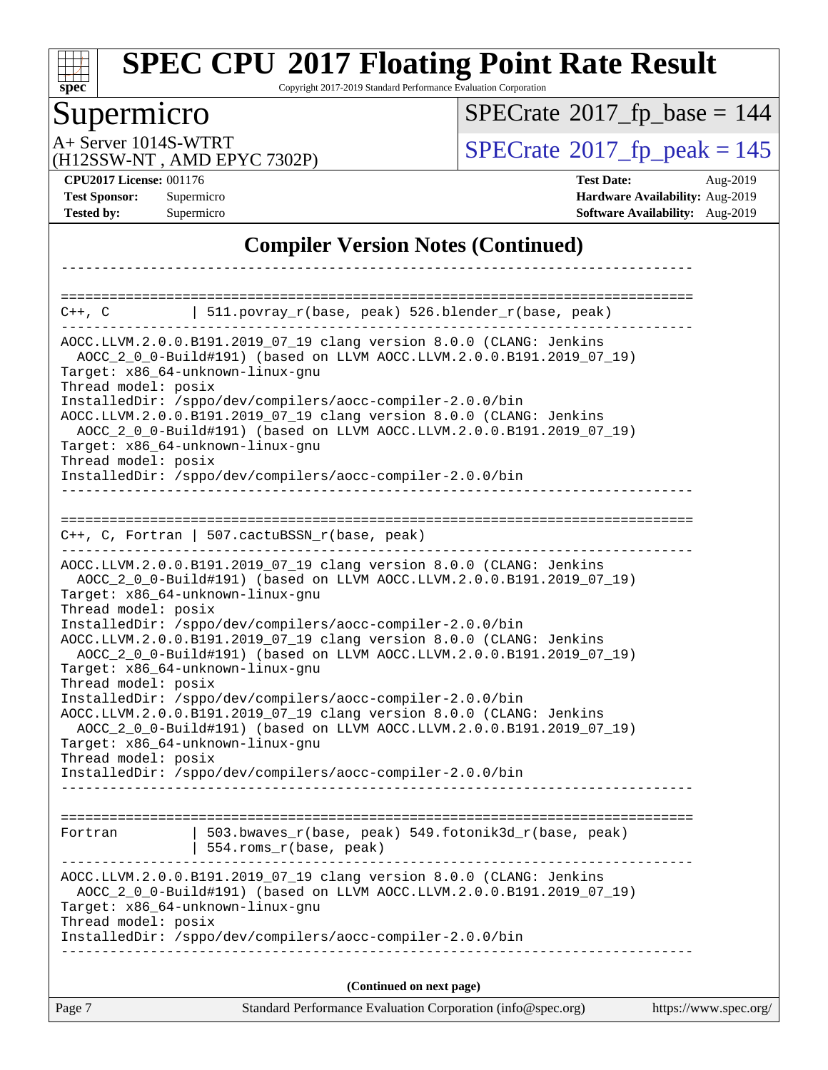

Copyright 2017-2019 Standard Performance Evaluation Corporation

## Supermicro

 $SPECrate$ <sup>®</sup>[2017\\_fp\\_base =](http://www.spec.org/auto/cpu2017/Docs/result-fields.html#SPECrate2017fpbase) 144

(H12SSW-NT , AMD EPYC 7302P)

A+ Server 1014S-WTRT<br>
(H12SSW-NT, AMD EPYC 7302P) [SPECrate](http://www.spec.org/auto/cpu2017/Docs/result-fields.html#SPECrate2017fppeak)®[2017\\_fp\\_peak = 1](http://www.spec.org/auto/cpu2017/Docs/result-fields.html#SPECrate2017fppeak)45

**[CPU2017 License:](http://www.spec.org/auto/cpu2017/Docs/result-fields.html#CPU2017License)** 001176 **[Test Date:](http://www.spec.org/auto/cpu2017/Docs/result-fields.html#TestDate)** Aug-2019 **[Test Sponsor:](http://www.spec.org/auto/cpu2017/Docs/result-fields.html#TestSponsor)** Supermicro **[Hardware Availability:](http://www.spec.org/auto/cpu2017/Docs/result-fields.html#HardwareAvailability)** Aug-2019 **[Tested by:](http://www.spec.org/auto/cpu2017/Docs/result-fields.html#Testedby)** Supermicro **Supermicro [Software Availability:](http://www.spec.org/auto/cpu2017/Docs/result-fields.html#SoftwareAvailability)** Aug-2019

#### **[Compiler Version Notes \(Continued\)](http://www.spec.org/auto/cpu2017/Docs/result-fields.html#CompilerVersionNotes)**

| ==========================                                        | C++, C $  511.povray_r(base, peak) 526.blender_r(base, peak)$                                                                                                                                                                                                                                                                                                                                                                                                                                                                                                                                                                                                                                                                                   |                       |
|-------------------------------------------------------------------|-------------------------------------------------------------------------------------------------------------------------------------------------------------------------------------------------------------------------------------------------------------------------------------------------------------------------------------------------------------------------------------------------------------------------------------------------------------------------------------------------------------------------------------------------------------------------------------------------------------------------------------------------------------------------------------------------------------------------------------------------|-----------------------|
| Thread model: posix<br>Thread model: posix                        | AOCC.LLVM.2.0.0.B191.2019_07_19 clang version 8.0.0 (CLANG: Jenkins<br>AOCC_2_0_0-Build#191) (based on LLVM AOCC.LLVM.2.0.0.B191.2019_07_19)<br>Target: x86_64-unknown-linux-gnu<br>InstalledDir: /sppo/dev/compilers/aocc-compiler-2.0.0/bin<br>AOCC.LLVM.2.0.0.B191.2019_07_19 clang version 8.0.0 (CLANG: Jenkins<br>AOCC_2_0_0-Build#191) (based on LLVM AOCC.LLVM.2.0.0.B191.2019_07_19)<br>Target: x86_64-unknown-linux-gnu<br>InstalledDir: /sppo/dev/compilers/aocc-compiler-2.0.0/bin                                                                                                                                                                                                                                                  |                       |
|                                                                   | $C++$ , C, Fortran   507.cactuBSSN_r(base, peak)                                                                                                                                                                                                                                                                                                                                                                                                                                                                                                                                                                                                                                                                                                |                       |
| Thread model: posix<br>Thread model: posix<br>Thread model: posix | AOCC.LLVM.2.0.0.B191.2019_07_19 clang version 8.0.0 (CLANG: Jenkins<br>AOCC_2_0_0-Build#191) (based on LLVM AOCC.LLVM.2.0.0.B191.2019_07_19)<br>Target: x86_64-unknown-linux-gnu<br>InstalledDir: /sppo/dev/compilers/aocc-compiler-2.0.0/bin<br>AOCC.LLVM.2.0.0.B191.2019_07_19 clang version 8.0.0 (CLANG: Jenkins<br>AOCC_2_0_0-Build#191) (based on LLVM AOCC.LLVM.2.0.0.B191.2019_07_19)<br>Target: x86_64-unknown-linux-gnu<br>InstalledDir: /sppo/dev/compilers/aocc-compiler-2.0.0/bin<br>AOCC.LLVM.2.0.0.B191.2019_07_19 clang version 8.0.0 (CLANG: Jenkins<br>AOCC_2_0_0-Build#191) (based on LLVM AOCC.LLVM.2.0.0.B191.2019_07_19)<br>Target: x86_64-unknown-linux-gnu<br>InstalledDir: /sppo/dev/compilers/aocc-compiler-2.0.0/bin |                       |
| Fortran                                                           | 503.bwaves_r(base, peak) 549.fotonik3d_r(base, peak)<br>554.roms_r(base, peak)                                                                                                                                                                                                                                                                                                                                                                                                                                                                                                                                                                                                                                                                  |                       |
| Thread model: posix                                               | AOCC.LLVM.2.0.0.B191.2019_07_19 clang version 8.0.0 (CLANG: Jenkins<br>AOCC_2_0_0-Build#191) (based on LLVM AOCC.LLVM.2.0.0.B191.2019_07_19)<br>Target: x86_64-unknown-linux-gnu<br>InstalledDir: /sppo/dev/compilers/aocc-compiler-2.0.0/bin                                                                                                                                                                                                                                                                                                                                                                                                                                                                                                   |                       |
|                                                                   | (Continued on next page)                                                                                                                                                                                                                                                                                                                                                                                                                                                                                                                                                                                                                                                                                                                        |                       |
| Page 7                                                            | Standard Performance Evaluation Corporation (info@spec.org)                                                                                                                                                                                                                                                                                                                                                                                                                                                                                                                                                                                                                                                                                     | https://www.spec.org/ |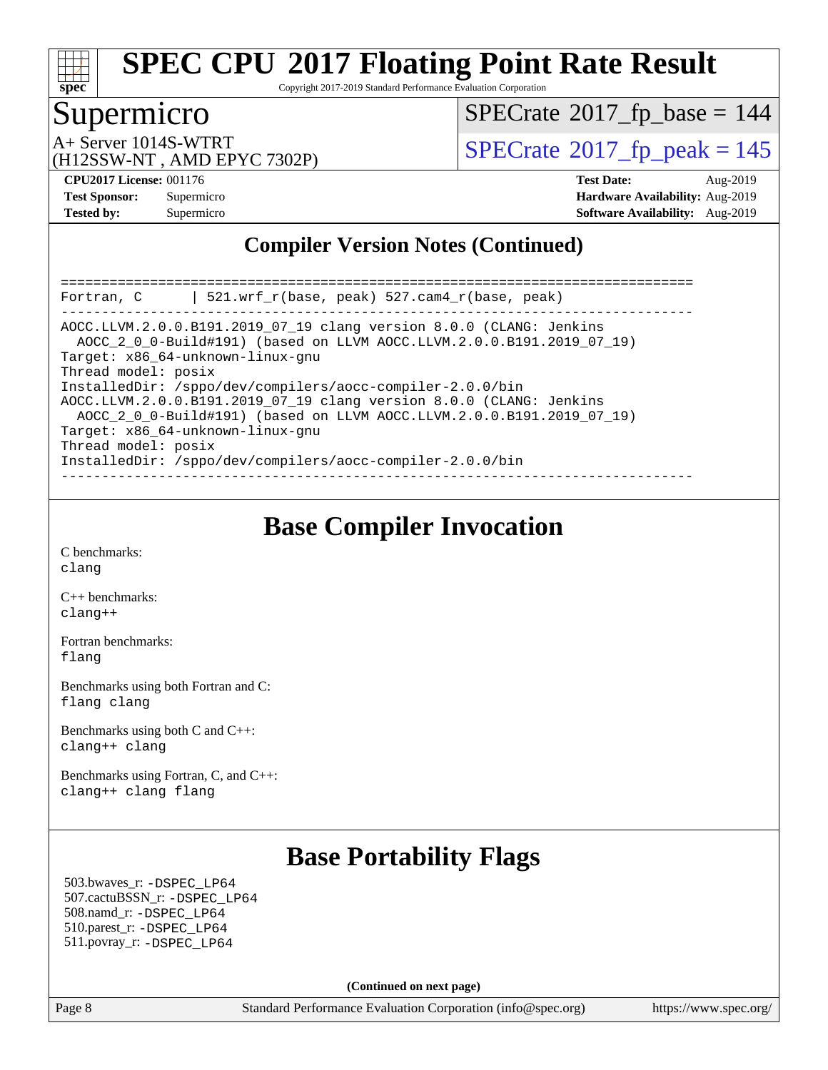

Copyright 2017-2019 Standard Performance Evaluation Corporation

## Supermicro

 $SPECrate$ <sup>®</sup>[2017\\_fp\\_base =](http://www.spec.org/auto/cpu2017/Docs/result-fields.html#SPECrate2017fpbase) 144

(H12SSW-NT , AMD EPYC 7302P)

A+ Server 1014S-WTRT<br>
(H12SSW-NT AMD EPYC 7302P) [SPECrate](http://www.spec.org/auto/cpu2017/Docs/result-fields.html#SPECrate2017fppeak)®[2017\\_fp\\_peak = 1](http://www.spec.org/auto/cpu2017/Docs/result-fields.html#SPECrate2017fppeak)45

**[CPU2017 License:](http://www.spec.org/auto/cpu2017/Docs/result-fields.html#CPU2017License)** 001176 **[Test Date:](http://www.spec.org/auto/cpu2017/Docs/result-fields.html#TestDate)** Aug-2019 **[Test Sponsor:](http://www.spec.org/auto/cpu2017/Docs/result-fields.html#TestSponsor)** Supermicro **[Hardware Availability:](http://www.spec.org/auto/cpu2017/Docs/result-fields.html#HardwareAvailability)** Aug-2019 **[Tested by:](http://www.spec.org/auto/cpu2017/Docs/result-fields.html#Testedby)** Supermicro **Supermicro [Software Availability:](http://www.spec.org/auto/cpu2017/Docs/result-fields.html#SoftwareAvailability)** Aug-2019

#### **[Compiler Version Notes \(Continued\)](http://www.spec.org/auto/cpu2017/Docs/result-fields.html#CompilerVersionNotes)**

| $\vert$ 521.wrf r(base, peak) 527.cam4 r(base, peak)<br>Fortran, C                                                                                                                                                                            |
|-----------------------------------------------------------------------------------------------------------------------------------------------------------------------------------------------------------------------------------------------|
| AOCC.LLVM.2.0.0.B191.2019 07 19 clang version 8.0.0 (CLANG: Jenkins<br>AOCC 2 0 0-Build#191) (based on LLVM AOCC.LLVM.2.0.0.B191.2019 07 19)<br>Target: x86 64-unknown-linux-gnu<br>Thread model: posix                                       |
| InstalledDir: /sppo/dev/compilers/aocc-compiler-2.0.0/bin<br>AOCC.LLVM.2.0.0.B191.2019 07 19 clang version 8.0.0 (CLANG: Jenkins<br>AOCC_2_0_0-Build#191) (based on LLVM AOCC.LLVM.2.0.0.B191.2019_07_19)<br>Target: x86 64-unknown-linux-gnu |
| Thread model: posix<br>InstalledDir: /sppo/dev/compilers/aocc-compiler-2.0.0/bin                                                                                                                                                              |

## **[Base Compiler Invocation](http://www.spec.org/auto/cpu2017/Docs/result-fields.html#BaseCompilerInvocation)**

[C benchmarks](http://www.spec.org/auto/cpu2017/Docs/result-fields.html#Cbenchmarks): [clang](http://www.spec.org/cpu2017/results/res2019q3/cpu2017-20190902-17497.flags.html#user_CCbase_clang-c)

[C++ benchmarks:](http://www.spec.org/auto/cpu2017/Docs/result-fields.html#CXXbenchmarks) [clang++](http://www.spec.org/cpu2017/results/res2019q3/cpu2017-20190902-17497.flags.html#user_CXXbase_clang-cpp)

[Fortran benchmarks](http://www.spec.org/auto/cpu2017/Docs/result-fields.html#Fortranbenchmarks): [flang](http://www.spec.org/cpu2017/results/res2019q3/cpu2017-20190902-17497.flags.html#user_FCbase_flang)

[Benchmarks using both Fortran and C](http://www.spec.org/auto/cpu2017/Docs/result-fields.html#BenchmarksusingbothFortranandC): [flang](http://www.spec.org/cpu2017/results/res2019q3/cpu2017-20190902-17497.flags.html#user_CC_FCbase_flang) [clang](http://www.spec.org/cpu2017/results/res2019q3/cpu2017-20190902-17497.flags.html#user_CC_FCbase_clang-c)

[Benchmarks using both C and C++](http://www.spec.org/auto/cpu2017/Docs/result-fields.html#BenchmarksusingbothCandCXX): [clang++](http://www.spec.org/cpu2017/results/res2019q3/cpu2017-20190902-17497.flags.html#user_CC_CXXbase_clang-cpp) [clang](http://www.spec.org/cpu2017/results/res2019q3/cpu2017-20190902-17497.flags.html#user_CC_CXXbase_clang-c)

[Benchmarks using Fortran, C, and C++:](http://www.spec.org/auto/cpu2017/Docs/result-fields.html#BenchmarksusingFortranCandCXX) [clang++](http://www.spec.org/cpu2017/results/res2019q3/cpu2017-20190902-17497.flags.html#user_CC_CXX_FCbase_clang-cpp) [clang](http://www.spec.org/cpu2017/results/res2019q3/cpu2017-20190902-17497.flags.html#user_CC_CXX_FCbase_clang-c) [flang](http://www.spec.org/cpu2017/results/res2019q3/cpu2017-20190902-17497.flags.html#user_CC_CXX_FCbase_flang)

## **[Base Portability Flags](http://www.spec.org/auto/cpu2017/Docs/result-fields.html#BasePortabilityFlags)**

 503.bwaves\_r: [-DSPEC\\_LP64](http://www.spec.org/cpu2017/results/res2019q3/cpu2017-20190902-17497.flags.html#suite_baseEXTRA_PORTABILITY503_bwaves_r_DSPEC_LP64) 507.cactuBSSN\_r: [-DSPEC\\_LP64](http://www.spec.org/cpu2017/results/res2019q3/cpu2017-20190902-17497.flags.html#suite_baseEXTRA_PORTABILITY507_cactuBSSN_r_DSPEC_LP64) 508.namd\_r: [-DSPEC\\_LP64](http://www.spec.org/cpu2017/results/res2019q3/cpu2017-20190902-17497.flags.html#suite_baseEXTRA_PORTABILITY508_namd_r_DSPEC_LP64) 510.parest\_r: [-DSPEC\\_LP64](http://www.spec.org/cpu2017/results/res2019q3/cpu2017-20190902-17497.flags.html#suite_baseEXTRA_PORTABILITY510_parest_r_DSPEC_LP64) 511.povray\_r: [-DSPEC\\_LP64](http://www.spec.org/cpu2017/results/res2019q3/cpu2017-20190902-17497.flags.html#suite_baseEXTRA_PORTABILITY511_povray_r_DSPEC_LP64)

**(Continued on next page)**

Page 8 Standard Performance Evaluation Corporation [\(info@spec.org\)](mailto:info@spec.org) <https://www.spec.org/>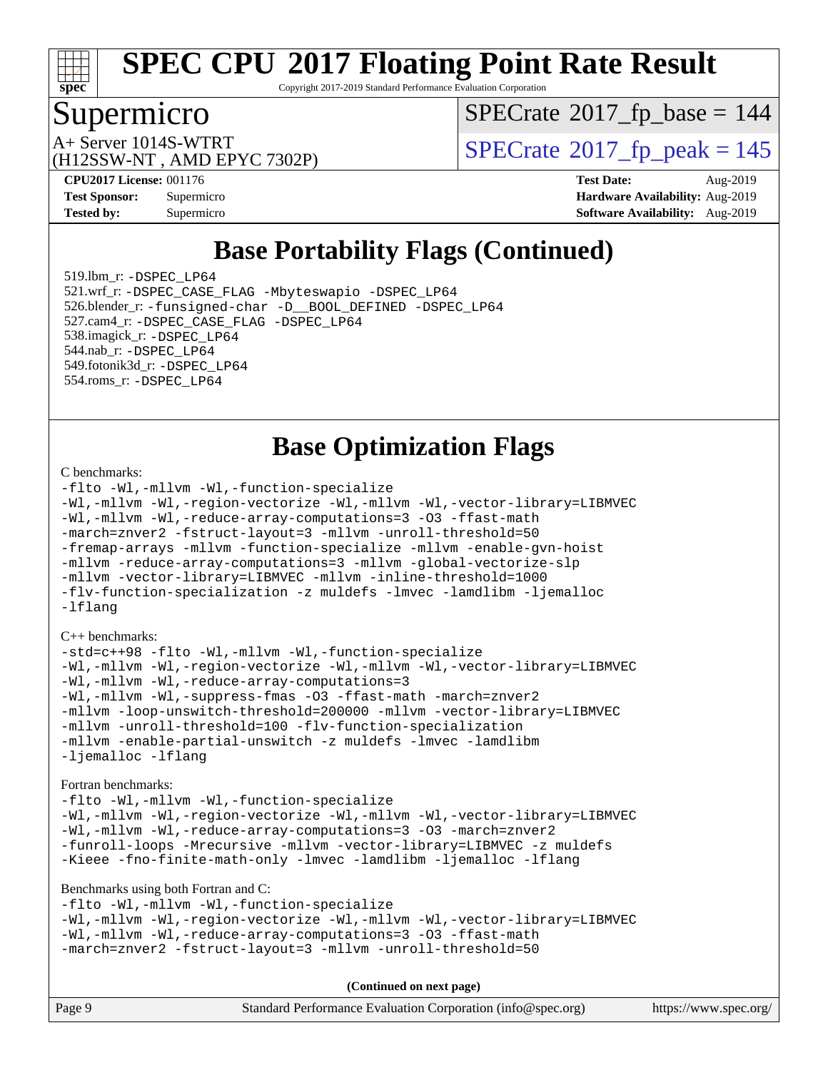

Copyright 2017-2019 Standard Performance Evaluation Corporation

## Supermicro

 $SPECrate$ <sup>®</sup>[2017\\_fp\\_base =](http://www.spec.org/auto/cpu2017/Docs/result-fields.html#SPECrate2017fpbase) 144

(H12SSW-NT , AMD EPYC 7302P)

A+ Server 1014S-WTRT  $\begin{array}{c} \text{SPECrate} \text{\textdegree}2017\_fp\_peak = 145 \\ \text{SPECrate} \text{\textdegree}2017\_fp\_peak = 145 \end{array}$  $\begin{array}{c} \text{SPECrate} \text{\textdegree}2017\_fp\_peak = 145 \\ \text{SPECrate} \text{\textdegree}2017\_fp\_peak = 145 \end{array}$  $\begin{array}{c} \text{SPECrate} \text{\textdegree}2017\_fp\_peak = 145 \\ \text{SPECrate} \text{\textdegree}2017\_fp\_peak = 145 \end{array}$ 

**[CPU2017 License:](http://www.spec.org/auto/cpu2017/Docs/result-fields.html#CPU2017License)** 001176 **[Test Date:](http://www.spec.org/auto/cpu2017/Docs/result-fields.html#TestDate)** Aug-2019 **[Test Sponsor:](http://www.spec.org/auto/cpu2017/Docs/result-fields.html#TestSponsor)** Supermicro **[Hardware Availability:](http://www.spec.org/auto/cpu2017/Docs/result-fields.html#HardwareAvailability)** Aug-2019 **[Tested by:](http://www.spec.org/auto/cpu2017/Docs/result-fields.html#Testedby)** Supermicro **Supermicro [Software Availability:](http://www.spec.org/auto/cpu2017/Docs/result-fields.html#SoftwareAvailability)** Aug-2019

## **[Base Portability Flags \(Continued\)](http://www.spec.org/auto/cpu2017/Docs/result-fields.html#BasePortabilityFlags)**

 519.lbm\_r: [-DSPEC\\_LP64](http://www.spec.org/cpu2017/results/res2019q3/cpu2017-20190902-17497.flags.html#suite_baseEXTRA_PORTABILITY519_lbm_r_DSPEC_LP64) 521.wrf\_r: [-DSPEC\\_CASE\\_FLAG](http://www.spec.org/cpu2017/results/res2019q3/cpu2017-20190902-17497.flags.html#b521.wrf_r_baseCPORTABILITY_DSPEC_CASE_FLAG) [-Mbyteswapio](http://www.spec.org/cpu2017/results/res2019q3/cpu2017-20190902-17497.flags.html#user_baseFPORTABILITY521_wrf_r_F-mbyteswapio_543c39ce38db59bcbc3b888917ef58c313007ae1c27520b689e012995ae261114051d1d5efcb4182d175ce22a6a15532d3a9999882dd2c360e6d853f41da6883) [-DSPEC\\_LP64](http://www.spec.org/cpu2017/results/res2019q3/cpu2017-20190902-17497.flags.html#suite_baseEXTRA_PORTABILITY521_wrf_r_DSPEC_LP64) 526.blender\_r: [-funsigned-char](http://www.spec.org/cpu2017/results/res2019q3/cpu2017-20190902-17497.flags.html#user_baseCPORTABILITY526_blender_r_aocc-unsigned-char) [-D\\_\\_BOOL\\_DEFINED](http://www.spec.org/cpu2017/results/res2019q3/cpu2017-20190902-17497.flags.html#b526.blender_r_baseCXXPORTABILITY_D__BOOL_DEFINED) [-DSPEC\\_LP64](http://www.spec.org/cpu2017/results/res2019q3/cpu2017-20190902-17497.flags.html#suite_baseEXTRA_PORTABILITY526_blender_r_DSPEC_LP64) 527.cam4\_r: [-DSPEC\\_CASE\\_FLAG](http://www.spec.org/cpu2017/results/res2019q3/cpu2017-20190902-17497.flags.html#b527.cam4_r_basePORTABILITY_DSPEC_CASE_FLAG) [-DSPEC\\_LP64](http://www.spec.org/cpu2017/results/res2019q3/cpu2017-20190902-17497.flags.html#suite_baseEXTRA_PORTABILITY527_cam4_r_DSPEC_LP64) 538.imagick\_r: [-DSPEC\\_LP64](http://www.spec.org/cpu2017/results/res2019q3/cpu2017-20190902-17497.flags.html#suite_baseEXTRA_PORTABILITY538_imagick_r_DSPEC_LP64) 544.nab\_r: [-DSPEC\\_LP64](http://www.spec.org/cpu2017/results/res2019q3/cpu2017-20190902-17497.flags.html#suite_baseEXTRA_PORTABILITY544_nab_r_DSPEC_LP64) 549.fotonik3d\_r: [-DSPEC\\_LP64](http://www.spec.org/cpu2017/results/res2019q3/cpu2017-20190902-17497.flags.html#suite_baseEXTRA_PORTABILITY549_fotonik3d_r_DSPEC_LP64) 554.roms\_r: [-DSPEC\\_LP64](http://www.spec.org/cpu2017/results/res2019q3/cpu2017-20190902-17497.flags.html#suite_baseEXTRA_PORTABILITY554_roms_r_DSPEC_LP64)

## **[Base Optimization Flags](http://www.spec.org/auto/cpu2017/Docs/result-fields.html#BaseOptimizationFlags)**

#### [C benchmarks](http://www.spec.org/auto/cpu2017/Docs/result-fields.html#Cbenchmarks):

[-flto](http://www.spec.org/cpu2017/results/res2019q3/cpu2017-20190902-17497.flags.html#user_CCbase_aocc-flto) [-Wl,-mllvm -Wl,-function-specialize](http://www.spec.org/cpu2017/results/res2019q3/cpu2017-20190902-17497.flags.html#user_CCbase_F-function-specialize_7e7e661e57922243ee67c9a1251cb8910e607325179a0ce7f2884e09a6f5d4a5ef0ae4f37e8a2a11c95fc48e931f06dc2b6016f14b511fcb441e048bef1b065a) [-Wl,-mllvm -Wl,-region-vectorize](http://www.spec.org/cpu2017/results/res2019q3/cpu2017-20190902-17497.flags.html#user_CCbase_F-region-vectorize_fb6c6b5aa293c88efc6c7c2b52b20755e943585b1fe8658c35afef78727fff56e1a56891413c30e36b8e2a6f9a71126986319243e80eb6110b78b288f533c52b) [-Wl,-mllvm -Wl,-vector-library=LIBMVEC](http://www.spec.org/cpu2017/results/res2019q3/cpu2017-20190902-17497.flags.html#user_CCbase_F-use-vector-library_0a14b27fae317f283640384a31f7bfcc2bd4c1d0b5cfc618a3a430800c9b20217b00f61303eff223a3251b4f06ffbc9739dc5296db9d1fbb9ad24a3939d86d66) [-Wl,-mllvm -Wl,-reduce-array-computations=3](http://www.spec.org/cpu2017/results/res2019q3/cpu2017-20190902-17497.flags.html#user_CCbase_F-reduce-array-computations_b882aefe7a5dda4e33149f6299762b9a720dace3e498e13756f4c04e5a19edf5315c1f3993de2e61ec41e8c206231f84e05da7040e1bb5d69ba27d10a12507e4) [-O3](http://www.spec.org/cpu2017/results/res2019q3/cpu2017-20190902-17497.flags.html#user_CCbase_F-O3) [-ffast-math](http://www.spec.org/cpu2017/results/res2019q3/cpu2017-20190902-17497.flags.html#user_CCbase_aocc-ffast-math) [-march=znver2](http://www.spec.org/cpu2017/results/res2019q3/cpu2017-20190902-17497.flags.html#user_CCbase_aocc-march_3e2e19cff2eeef60c5d90b059483627c9ea47eca6d66670dbd53f9185f6439e27eb5e104cf773e9e8ab18c8842ce63e461a3e948d0214bd567ef3ade411bf467) [-fstruct-layout=3](http://www.spec.org/cpu2017/results/res2019q3/cpu2017-20190902-17497.flags.html#user_CCbase_F-struct-layout) [-mllvm -unroll-threshold=50](http://www.spec.org/cpu2017/results/res2019q3/cpu2017-20190902-17497.flags.html#user_CCbase_F-unroll-threshold_458874500b2c105d6d5cb4d7a611c40e2b16e9e3d26b355fea72d644c3673b4de4b3932662f0ed3dbec75c491a13da2d2ca81180bd779dc531083ef1e1e549dc) [-fremap-arrays](http://www.spec.org/cpu2017/results/res2019q3/cpu2017-20190902-17497.flags.html#user_CCbase_F-fremap-arrays) [-mllvm -function-specialize](http://www.spec.org/cpu2017/results/res2019q3/cpu2017-20190902-17497.flags.html#user_CCbase_F-function-specialize_233b3bdba86027f1b094368157e481c5bc59f40286dc25bfadc1858dcd5745c24fd30d5f188710db7fea399bcc9f44a80b3ce3aacc70a8870250c3ae5e1f35b8) [-mllvm -enable-gvn-hoist](http://www.spec.org/cpu2017/results/res2019q3/cpu2017-20190902-17497.flags.html#user_CCbase_F-enable-gvn-hoist_e5856354646dd6ca1333a0ad99b817e4cf8932b91b82809fd8fd47ceff7b22a89eba5c98fd3e3fa5200368fd772cec3dd56abc3c8f7b655a71b9f9848dddedd5) [-mllvm -reduce-array-computations=3](http://www.spec.org/cpu2017/results/res2019q3/cpu2017-20190902-17497.flags.html#user_CCbase_F-reduce-array-computations_aceadb8604558b566e0e3a0d7a3c1533923dd1fa0889614e16288028922629a28d5695c24d3b3be4306b1e311c54317dfffe3a2e57fbcaabc737a1798de39145) [-mllvm -global-vectorize-slp](http://www.spec.org/cpu2017/results/res2019q3/cpu2017-20190902-17497.flags.html#user_CCbase_F-global-vectorize-slp_a3935e8627af4ced727033b1ffd4db27f4d541a363d28d82bf4c2925fb3a0fd4115d6e42d13a2829f9e024d6608eb67a85cb49770f2da5c5ac8dbc737afad603) [-mllvm -vector-library=LIBMVEC](http://www.spec.org/cpu2017/results/res2019q3/cpu2017-20190902-17497.flags.html#user_CCbase_F-use-vector-library_e584e20b4f7ec96aa109254b65d8e01d864f3d68580371b9d93ed7c338191d4cfce20c3c864632264effc6bbe4c7c38153d02096a342ee92501c4a53204a7871) [-mllvm -inline-threshold=1000](http://www.spec.org/cpu2017/results/res2019q3/cpu2017-20190902-17497.flags.html#user_CCbase_dragonegg-llvm-inline-threshold_b7832241b0a6397e4ecdbaf0eb7defdc10f885c2a282fa3240fdc99844d543fda39cf8a4a9dccf68cf19b5438ac3b455264f478df15da0f4988afa40d8243bab) [-flv-function-specialization](http://www.spec.org/cpu2017/results/res2019q3/cpu2017-20190902-17497.flags.html#user_CCbase_F-flv-function-specialization) [-z muldefs](http://www.spec.org/cpu2017/results/res2019q3/cpu2017-20190902-17497.flags.html#user_CCbase_aocc-muldefs) [-lmvec](http://www.spec.org/cpu2017/results/res2019q3/cpu2017-20190902-17497.flags.html#user_CCbase_F-lmvec) [-lamdlibm](http://www.spec.org/cpu2017/results/res2019q3/cpu2017-20190902-17497.flags.html#user_CCbase_F-lamdlibm) [-ljemalloc](http://www.spec.org/cpu2017/results/res2019q3/cpu2017-20190902-17497.flags.html#user_CCbase_jemalloc-lib) [-lflang](http://www.spec.org/cpu2017/results/res2019q3/cpu2017-20190902-17497.flags.html#user_CCbase_F-lflang)

#### [C++ benchmarks:](http://www.spec.org/auto/cpu2017/Docs/result-fields.html#CXXbenchmarks)

[-std=c++98](http://www.spec.org/cpu2017/results/res2019q3/cpu2017-20190902-17497.flags.html#user_CXXbase_std-cpp) [-flto](http://www.spec.org/cpu2017/results/res2019q3/cpu2017-20190902-17497.flags.html#user_CXXbase_aocc-flto) [-Wl,-mllvm -Wl,-function-specialize](http://www.spec.org/cpu2017/results/res2019q3/cpu2017-20190902-17497.flags.html#user_CXXbase_F-function-specialize_7e7e661e57922243ee67c9a1251cb8910e607325179a0ce7f2884e09a6f5d4a5ef0ae4f37e8a2a11c95fc48e931f06dc2b6016f14b511fcb441e048bef1b065a) [-Wl,-mllvm -Wl,-region-vectorize](http://www.spec.org/cpu2017/results/res2019q3/cpu2017-20190902-17497.flags.html#user_CXXbase_F-region-vectorize_fb6c6b5aa293c88efc6c7c2b52b20755e943585b1fe8658c35afef78727fff56e1a56891413c30e36b8e2a6f9a71126986319243e80eb6110b78b288f533c52b) [-Wl,-mllvm -Wl,-vector-library=LIBMVEC](http://www.spec.org/cpu2017/results/res2019q3/cpu2017-20190902-17497.flags.html#user_CXXbase_F-use-vector-library_0a14b27fae317f283640384a31f7bfcc2bd4c1d0b5cfc618a3a430800c9b20217b00f61303eff223a3251b4f06ffbc9739dc5296db9d1fbb9ad24a3939d86d66) [-Wl,-mllvm -Wl,-reduce-array-computations=3](http://www.spec.org/cpu2017/results/res2019q3/cpu2017-20190902-17497.flags.html#user_CXXbase_F-reduce-array-computations_b882aefe7a5dda4e33149f6299762b9a720dace3e498e13756f4c04e5a19edf5315c1f3993de2e61ec41e8c206231f84e05da7040e1bb5d69ba27d10a12507e4) [-Wl,-mllvm -Wl,-suppress-fmas](http://www.spec.org/cpu2017/results/res2019q3/cpu2017-20190902-17497.flags.html#user_CXXbase_F-suppress-fmas_f00f00630e4a059e8af9c161e9bbf420bcf19890a7f99d5933525e66aa4b0bb3ab2339d2b12d97d3a5f5d271e839fe9c109938e91fe06230fb53651590cfa1e8) [-O3](http://www.spec.org/cpu2017/results/res2019q3/cpu2017-20190902-17497.flags.html#user_CXXbase_F-O3) [-ffast-math](http://www.spec.org/cpu2017/results/res2019q3/cpu2017-20190902-17497.flags.html#user_CXXbase_aocc-ffast-math) [-march=znver2](http://www.spec.org/cpu2017/results/res2019q3/cpu2017-20190902-17497.flags.html#user_CXXbase_aocc-march_3e2e19cff2eeef60c5d90b059483627c9ea47eca6d66670dbd53f9185f6439e27eb5e104cf773e9e8ab18c8842ce63e461a3e948d0214bd567ef3ade411bf467) [-mllvm -loop-unswitch-threshold=200000](http://www.spec.org/cpu2017/results/res2019q3/cpu2017-20190902-17497.flags.html#user_CXXbase_F-loop-unswitch-threshold_f9a82ae3270e55b5fbf79d0d96ee93606b73edbbe527d20b18b7bff1a3a146ad50cfc7454c5297978340ae9213029016a7d16221274d672d3f7f42ed25274e1d) [-mllvm -vector-library=LIBMVEC](http://www.spec.org/cpu2017/results/res2019q3/cpu2017-20190902-17497.flags.html#user_CXXbase_F-use-vector-library_e584e20b4f7ec96aa109254b65d8e01d864f3d68580371b9d93ed7c338191d4cfce20c3c864632264effc6bbe4c7c38153d02096a342ee92501c4a53204a7871) [-mllvm -unroll-threshold=100](http://www.spec.org/cpu2017/results/res2019q3/cpu2017-20190902-17497.flags.html#user_CXXbase_F-unroll-threshold_2755d0c78138845d361fa1543e3a063fffa198df9b3edf0cfb856bbc88a81e1769b12ac7a550c5d35197be55360db1a3f95a8d1304df999456cabf5120c45168) [-flv-function-specialization](http://www.spec.org/cpu2017/results/res2019q3/cpu2017-20190902-17497.flags.html#user_CXXbase_F-flv-function-specialization) [-mllvm -enable-partial-unswitch](http://www.spec.org/cpu2017/results/res2019q3/cpu2017-20190902-17497.flags.html#user_CXXbase_F-enable-partial-unswitch_6e1c33f981d77963b1eaf834973128a7f33ce3f8e27f54689656697a35e89dcc875281e0e6283d043e32f367dcb605ba0e307a92e830f7e326789fa6c61b35d3) [-z muldefs](http://www.spec.org/cpu2017/results/res2019q3/cpu2017-20190902-17497.flags.html#user_CXXbase_aocc-muldefs) [-lmvec](http://www.spec.org/cpu2017/results/res2019q3/cpu2017-20190902-17497.flags.html#user_CXXbase_F-lmvec) [-lamdlibm](http://www.spec.org/cpu2017/results/res2019q3/cpu2017-20190902-17497.flags.html#user_CXXbase_F-lamdlibm) [-ljemalloc](http://www.spec.org/cpu2017/results/res2019q3/cpu2017-20190902-17497.flags.html#user_CXXbase_jemalloc-lib) [-lflang](http://www.spec.org/cpu2017/results/res2019q3/cpu2017-20190902-17497.flags.html#user_CXXbase_F-lflang)

#### [Fortran benchmarks](http://www.spec.org/auto/cpu2017/Docs/result-fields.html#Fortranbenchmarks):

```
-flto -Wl,-mllvm -Wl,-function-specialize
-Wl,-mllvm -Wl,-region-vectorize -Wl,-mllvm -Wl,-vector-library=LIBMVEC
-Wl,-mllvm -Wl,-reduce-array-computations=3 -O3 -march=znver2
-funroll-loops -Mrecursive -mllvm -vector-library=LIBMVEC -z muldefs
-Kieee -fno-finite-math-only -lmvec -lamdlibm -ljemalloc -lflang
```
#### [Benchmarks using both Fortran and C](http://www.spec.org/auto/cpu2017/Docs/result-fields.html#BenchmarksusingbothFortranandC):

```
-flto -Wl,-mllvm -Wl,-function-specialize
-Wl,-mllvm -Wl,-region-vectorize -Wl,-mllvm -Wl,-vector-library=LIBMVEC
-Wl,-mllvm -Wl,-reduce-array-computations=3 -O3 -ffast-math
-march=znver2 -fstruct-layout=3 -mllvm -unroll-threshold=50
```
**(Continued on next page)**

| Page 9 | Standard Performance Evaluation Corporation (info@spec.org) | https://www.spec.org/ |
|--------|-------------------------------------------------------------|-----------------------|
|--------|-------------------------------------------------------------|-----------------------|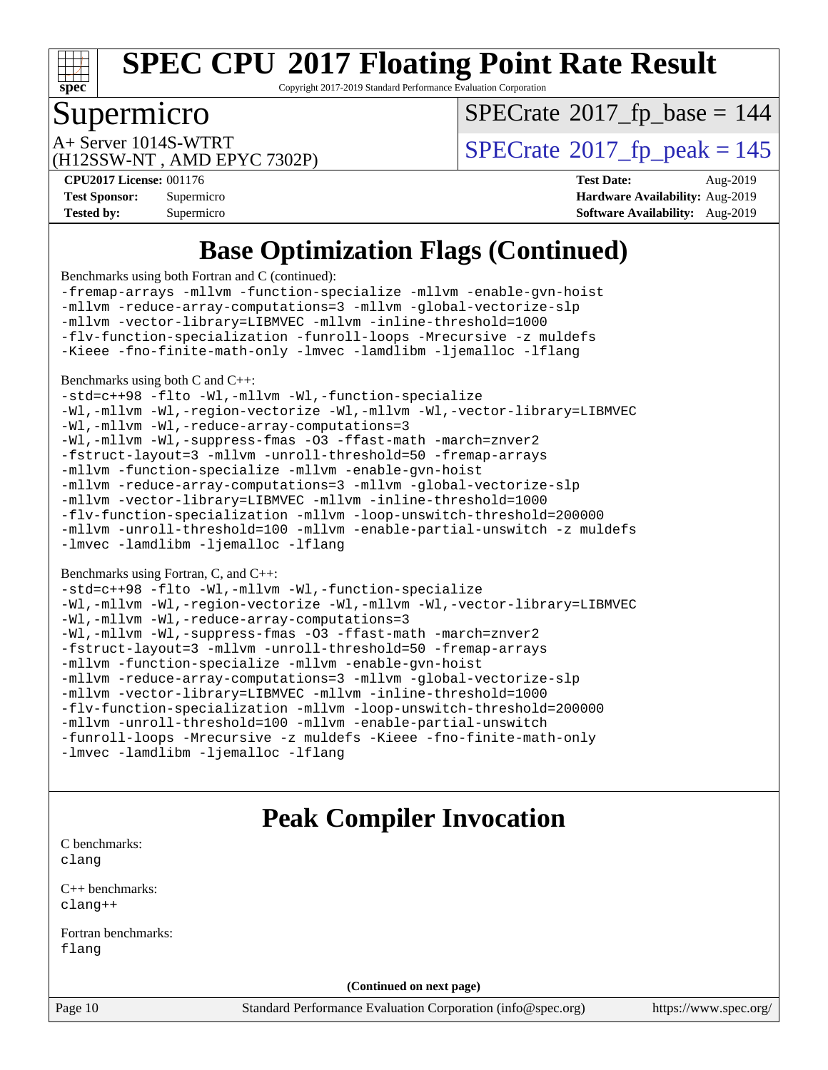

Copyright 2017-2019 Standard Performance Evaluation Corporation

### Supermicro

 $SPECTate$ <sup>®</sup>[2017\\_fp\\_base =](http://www.spec.org/auto/cpu2017/Docs/result-fields.html#SPECrate2017fpbase) 144

(H12SSW-NT , AMD EPYC 7302P)

 $A+$  Server 1014S-WTRT  $\begin{array}{c|c}\n\text{A+Server 1014S-WTRT} & & \text{SPECrate} \n\hline\n\text{B+Server 2017-fp_peak} & = 145\n\end{array}$  $\begin{array}{c|c}\n\text{A+Server 1014S-WTRT} & & \text{SPECrate} \n\hline\n\text{B+Server 2017-fp_peak} & = 145\n\end{array}$  $\begin{array}{c|c}\n\text{A+Server 1014S-WTRT} & & \text{SPECrate} \n\hline\n\text{B+Server 2017-fp_peak} & = 145\n\end{array}$ 

**[Tested by:](http://www.spec.org/auto/cpu2017/Docs/result-fields.html#Testedby)** Supermicro **[Software Availability:](http://www.spec.org/auto/cpu2017/Docs/result-fields.html#SoftwareAvailability)** Aug-2019

**[CPU2017 License:](http://www.spec.org/auto/cpu2017/Docs/result-fields.html#CPU2017License)** 001176 **[Test Date:](http://www.spec.org/auto/cpu2017/Docs/result-fields.html#TestDate)** Aug-2019 **[Test Sponsor:](http://www.spec.org/auto/cpu2017/Docs/result-fields.html#TestSponsor)** Supermicro **[Hardware Availability:](http://www.spec.org/auto/cpu2017/Docs/result-fields.html#HardwareAvailability)** Aug-2019

## **[Base Optimization Flags \(Continued\)](http://www.spec.org/auto/cpu2017/Docs/result-fields.html#BaseOptimizationFlags)**

[Benchmarks using both Fortran and C](http://www.spec.org/auto/cpu2017/Docs/result-fields.html#BenchmarksusingbothFortranandC) (continued):

[-fremap-arrays](http://www.spec.org/cpu2017/results/res2019q3/cpu2017-20190902-17497.flags.html#user_CC_FCbase_F-fremap-arrays) [-mllvm -function-specialize](http://www.spec.org/cpu2017/results/res2019q3/cpu2017-20190902-17497.flags.html#user_CC_FCbase_F-function-specialize_233b3bdba86027f1b094368157e481c5bc59f40286dc25bfadc1858dcd5745c24fd30d5f188710db7fea399bcc9f44a80b3ce3aacc70a8870250c3ae5e1f35b8) [-mllvm -enable-gvn-hoist](http://www.spec.org/cpu2017/results/res2019q3/cpu2017-20190902-17497.flags.html#user_CC_FCbase_F-enable-gvn-hoist_e5856354646dd6ca1333a0ad99b817e4cf8932b91b82809fd8fd47ceff7b22a89eba5c98fd3e3fa5200368fd772cec3dd56abc3c8f7b655a71b9f9848dddedd5) [-mllvm -reduce-array-computations=3](http://www.spec.org/cpu2017/results/res2019q3/cpu2017-20190902-17497.flags.html#user_CC_FCbase_F-reduce-array-computations_aceadb8604558b566e0e3a0d7a3c1533923dd1fa0889614e16288028922629a28d5695c24d3b3be4306b1e311c54317dfffe3a2e57fbcaabc737a1798de39145) [-mllvm -global-vectorize-slp](http://www.spec.org/cpu2017/results/res2019q3/cpu2017-20190902-17497.flags.html#user_CC_FCbase_F-global-vectorize-slp_a3935e8627af4ced727033b1ffd4db27f4d541a363d28d82bf4c2925fb3a0fd4115d6e42d13a2829f9e024d6608eb67a85cb49770f2da5c5ac8dbc737afad603) [-mllvm -vector-library=LIBMVEC](http://www.spec.org/cpu2017/results/res2019q3/cpu2017-20190902-17497.flags.html#user_CC_FCbase_F-use-vector-library_e584e20b4f7ec96aa109254b65d8e01d864f3d68580371b9d93ed7c338191d4cfce20c3c864632264effc6bbe4c7c38153d02096a342ee92501c4a53204a7871) [-mllvm -inline-threshold=1000](http://www.spec.org/cpu2017/results/res2019q3/cpu2017-20190902-17497.flags.html#user_CC_FCbase_dragonegg-llvm-inline-threshold_b7832241b0a6397e4ecdbaf0eb7defdc10f885c2a282fa3240fdc99844d543fda39cf8a4a9dccf68cf19b5438ac3b455264f478df15da0f4988afa40d8243bab) [-flv-function-specialization](http://www.spec.org/cpu2017/results/res2019q3/cpu2017-20190902-17497.flags.html#user_CC_FCbase_F-flv-function-specialization) [-funroll-loops](http://www.spec.org/cpu2017/results/res2019q3/cpu2017-20190902-17497.flags.html#user_CC_FCbase_aocc-unroll-loops) [-Mrecursive](http://www.spec.org/cpu2017/results/res2019q3/cpu2017-20190902-17497.flags.html#user_CC_FCbase_F-mrecursive_20a145d63f12d5750a899e17d4450b5b8b40330a9bb4af13688ca650e6fb30857bbbe44fb35cdbb895df6e5b2769de0a0d7659f51ff17acfbef6febafec4023f) [-z muldefs](http://www.spec.org/cpu2017/results/res2019q3/cpu2017-20190902-17497.flags.html#user_CC_FCbase_aocc-muldefs) [-Kieee](http://www.spec.org/cpu2017/results/res2019q3/cpu2017-20190902-17497.flags.html#user_CC_FCbase_F-kieee) [-fno-finite-math-only](http://www.spec.org/cpu2017/results/res2019q3/cpu2017-20190902-17497.flags.html#user_CC_FCbase_aocc-fno-finite-math-only) [-lmvec](http://www.spec.org/cpu2017/results/res2019q3/cpu2017-20190902-17497.flags.html#user_CC_FCbase_F-lmvec) [-lamdlibm](http://www.spec.org/cpu2017/results/res2019q3/cpu2017-20190902-17497.flags.html#user_CC_FCbase_F-lamdlibm) [-ljemalloc](http://www.spec.org/cpu2017/results/res2019q3/cpu2017-20190902-17497.flags.html#user_CC_FCbase_jemalloc-lib) [-lflang](http://www.spec.org/cpu2017/results/res2019q3/cpu2017-20190902-17497.flags.html#user_CC_FCbase_F-lflang)

[Benchmarks using both C and C++](http://www.spec.org/auto/cpu2017/Docs/result-fields.html#BenchmarksusingbothCandCXX):

[-std=c++98](http://www.spec.org/cpu2017/results/res2019q3/cpu2017-20190902-17497.flags.html#user_CC_CXXbase_std-cpp) [-flto](http://www.spec.org/cpu2017/results/res2019q3/cpu2017-20190902-17497.flags.html#user_CC_CXXbase_aocc-flto) [-Wl,-mllvm -Wl,-function-specialize](http://www.spec.org/cpu2017/results/res2019q3/cpu2017-20190902-17497.flags.html#user_CC_CXXbase_F-function-specialize_7e7e661e57922243ee67c9a1251cb8910e607325179a0ce7f2884e09a6f5d4a5ef0ae4f37e8a2a11c95fc48e931f06dc2b6016f14b511fcb441e048bef1b065a)

[-Wl,-mllvm -Wl,-region-vectorize](http://www.spec.org/cpu2017/results/res2019q3/cpu2017-20190902-17497.flags.html#user_CC_CXXbase_F-region-vectorize_fb6c6b5aa293c88efc6c7c2b52b20755e943585b1fe8658c35afef78727fff56e1a56891413c30e36b8e2a6f9a71126986319243e80eb6110b78b288f533c52b) [-Wl,-mllvm -Wl,-vector-library=LIBMVEC](http://www.spec.org/cpu2017/results/res2019q3/cpu2017-20190902-17497.flags.html#user_CC_CXXbase_F-use-vector-library_0a14b27fae317f283640384a31f7bfcc2bd4c1d0b5cfc618a3a430800c9b20217b00f61303eff223a3251b4f06ffbc9739dc5296db9d1fbb9ad24a3939d86d66) [-Wl,-mllvm -Wl,-reduce-array-computations=3](http://www.spec.org/cpu2017/results/res2019q3/cpu2017-20190902-17497.flags.html#user_CC_CXXbase_F-reduce-array-computations_b882aefe7a5dda4e33149f6299762b9a720dace3e498e13756f4c04e5a19edf5315c1f3993de2e61ec41e8c206231f84e05da7040e1bb5d69ba27d10a12507e4) [-Wl,-mllvm -Wl,-suppress-fmas](http://www.spec.org/cpu2017/results/res2019q3/cpu2017-20190902-17497.flags.html#user_CC_CXXbase_F-suppress-fmas_f00f00630e4a059e8af9c161e9bbf420bcf19890a7f99d5933525e66aa4b0bb3ab2339d2b12d97d3a5f5d271e839fe9c109938e91fe06230fb53651590cfa1e8) [-O3](http://www.spec.org/cpu2017/results/res2019q3/cpu2017-20190902-17497.flags.html#user_CC_CXXbase_F-O3) [-ffast-math](http://www.spec.org/cpu2017/results/res2019q3/cpu2017-20190902-17497.flags.html#user_CC_CXXbase_aocc-ffast-math) [-march=znver2](http://www.spec.org/cpu2017/results/res2019q3/cpu2017-20190902-17497.flags.html#user_CC_CXXbase_aocc-march_3e2e19cff2eeef60c5d90b059483627c9ea47eca6d66670dbd53f9185f6439e27eb5e104cf773e9e8ab18c8842ce63e461a3e948d0214bd567ef3ade411bf467) [-fstruct-layout=3](http://www.spec.org/cpu2017/results/res2019q3/cpu2017-20190902-17497.flags.html#user_CC_CXXbase_F-struct-layout) [-mllvm -unroll-threshold=50](http://www.spec.org/cpu2017/results/res2019q3/cpu2017-20190902-17497.flags.html#user_CC_CXXbase_F-unroll-threshold_458874500b2c105d6d5cb4d7a611c40e2b16e9e3d26b355fea72d644c3673b4de4b3932662f0ed3dbec75c491a13da2d2ca81180bd779dc531083ef1e1e549dc) [-fremap-arrays](http://www.spec.org/cpu2017/results/res2019q3/cpu2017-20190902-17497.flags.html#user_CC_CXXbase_F-fremap-arrays) [-mllvm -function-specialize](http://www.spec.org/cpu2017/results/res2019q3/cpu2017-20190902-17497.flags.html#user_CC_CXXbase_F-function-specialize_233b3bdba86027f1b094368157e481c5bc59f40286dc25bfadc1858dcd5745c24fd30d5f188710db7fea399bcc9f44a80b3ce3aacc70a8870250c3ae5e1f35b8) [-mllvm -enable-gvn-hoist](http://www.spec.org/cpu2017/results/res2019q3/cpu2017-20190902-17497.flags.html#user_CC_CXXbase_F-enable-gvn-hoist_e5856354646dd6ca1333a0ad99b817e4cf8932b91b82809fd8fd47ceff7b22a89eba5c98fd3e3fa5200368fd772cec3dd56abc3c8f7b655a71b9f9848dddedd5) [-mllvm -reduce-array-computations=3](http://www.spec.org/cpu2017/results/res2019q3/cpu2017-20190902-17497.flags.html#user_CC_CXXbase_F-reduce-array-computations_aceadb8604558b566e0e3a0d7a3c1533923dd1fa0889614e16288028922629a28d5695c24d3b3be4306b1e311c54317dfffe3a2e57fbcaabc737a1798de39145) [-mllvm -global-vectorize-slp](http://www.spec.org/cpu2017/results/res2019q3/cpu2017-20190902-17497.flags.html#user_CC_CXXbase_F-global-vectorize-slp_a3935e8627af4ced727033b1ffd4db27f4d541a363d28d82bf4c2925fb3a0fd4115d6e42d13a2829f9e024d6608eb67a85cb49770f2da5c5ac8dbc737afad603) [-mllvm -vector-library=LIBMVEC](http://www.spec.org/cpu2017/results/res2019q3/cpu2017-20190902-17497.flags.html#user_CC_CXXbase_F-use-vector-library_e584e20b4f7ec96aa109254b65d8e01d864f3d68580371b9d93ed7c338191d4cfce20c3c864632264effc6bbe4c7c38153d02096a342ee92501c4a53204a7871) [-mllvm -inline-threshold=1000](http://www.spec.org/cpu2017/results/res2019q3/cpu2017-20190902-17497.flags.html#user_CC_CXXbase_dragonegg-llvm-inline-threshold_b7832241b0a6397e4ecdbaf0eb7defdc10f885c2a282fa3240fdc99844d543fda39cf8a4a9dccf68cf19b5438ac3b455264f478df15da0f4988afa40d8243bab) [-flv-function-specialization](http://www.spec.org/cpu2017/results/res2019q3/cpu2017-20190902-17497.flags.html#user_CC_CXXbase_F-flv-function-specialization) [-mllvm -loop-unswitch-threshold=200000](http://www.spec.org/cpu2017/results/res2019q3/cpu2017-20190902-17497.flags.html#user_CC_CXXbase_F-loop-unswitch-threshold_f9a82ae3270e55b5fbf79d0d96ee93606b73edbbe527d20b18b7bff1a3a146ad50cfc7454c5297978340ae9213029016a7d16221274d672d3f7f42ed25274e1d) [-mllvm -unroll-threshold=100](http://www.spec.org/cpu2017/results/res2019q3/cpu2017-20190902-17497.flags.html#user_CC_CXXbase_F-unroll-threshold_2755d0c78138845d361fa1543e3a063fffa198df9b3edf0cfb856bbc88a81e1769b12ac7a550c5d35197be55360db1a3f95a8d1304df999456cabf5120c45168) [-mllvm -enable-partial-unswitch](http://www.spec.org/cpu2017/results/res2019q3/cpu2017-20190902-17497.flags.html#user_CC_CXXbase_F-enable-partial-unswitch_6e1c33f981d77963b1eaf834973128a7f33ce3f8e27f54689656697a35e89dcc875281e0e6283d043e32f367dcb605ba0e307a92e830f7e326789fa6c61b35d3) [-z muldefs](http://www.spec.org/cpu2017/results/res2019q3/cpu2017-20190902-17497.flags.html#user_CC_CXXbase_aocc-muldefs) [-lmvec](http://www.spec.org/cpu2017/results/res2019q3/cpu2017-20190902-17497.flags.html#user_CC_CXXbase_F-lmvec) [-lamdlibm](http://www.spec.org/cpu2017/results/res2019q3/cpu2017-20190902-17497.flags.html#user_CC_CXXbase_F-lamdlibm) [-ljemalloc](http://www.spec.org/cpu2017/results/res2019q3/cpu2017-20190902-17497.flags.html#user_CC_CXXbase_jemalloc-lib) [-lflang](http://www.spec.org/cpu2017/results/res2019q3/cpu2017-20190902-17497.flags.html#user_CC_CXXbase_F-lflang)

[Benchmarks using Fortran, C, and C++:](http://www.spec.org/auto/cpu2017/Docs/result-fields.html#BenchmarksusingFortranCandCXX)

[-std=c++98](http://www.spec.org/cpu2017/results/res2019q3/cpu2017-20190902-17497.flags.html#user_CC_CXX_FCbase_std-cpp) [-flto](http://www.spec.org/cpu2017/results/res2019q3/cpu2017-20190902-17497.flags.html#user_CC_CXX_FCbase_aocc-flto) [-Wl,-mllvm -Wl,-function-specialize](http://www.spec.org/cpu2017/results/res2019q3/cpu2017-20190902-17497.flags.html#user_CC_CXX_FCbase_F-function-specialize_7e7e661e57922243ee67c9a1251cb8910e607325179a0ce7f2884e09a6f5d4a5ef0ae4f37e8a2a11c95fc48e931f06dc2b6016f14b511fcb441e048bef1b065a) [-Wl,-mllvm -Wl,-region-vectorize](http://www.spec.org/cpu2017/results/res2019q3/cpu2017-20190902-17497.flags.html#user_CC_CXX_FCbase_F-region-vectorize_fb6c6b5aa293c88efc6c7c2b52b20755e943585b1fe8658c35afef78727fff56e1a56891413c30e36b8e2a6f9a71126986319243e80eb6110b78b288f533c52b) [-Wl,-mllvm -Wl,-vector-library=LIBMVEC](http://www.spec.org/cpu2017/results/res2019q3/cpu2017-20190902-17497.flags.html#user_CC_CXX_FCbase_F-use-vector-library_0a14b27fae317f283640384a31f7bfcc2bd4c1d0b5cfc618a3a430800c9b20217b00f61303eff223a3251b4f06ffbc9739dc5296db9d1fbb9ad24a3939d86d66) [-Wl,-mllvm -Wl,-reduce-array-computations=3](http://www.spec.org/cpu2017/results/res2019q3/cpu2017-20190902-17497.flags.html#user_CC_CXX_FCbase_F-reduce-array-computations_b882aefe7a5dda4e33149f6299762b9a720dace3e498e13756f4c04e5a19edf5315c1f3993de2e61ec41e8c206231f84e05da7040e1bb5d69ba27d10a12507e4) [-Wl,-mllvm -Wl,-suppress-fmas](http://www.spec.org/cpu2017/results/res2019q3/cpu2017-20190902-17497.flags.html#user_CC_CXX_FCbase_F-suppress-fmas_f00f00630e4a059e8af9c161e9bbf420bcf19890a7f99d5933525e66aa4b0bb3ab2339d2b12d97d3a5f5d271e839fe9c109938e91fe06230fb53651590cfa1e8) [-O3](http://www.spec.org/cpu2017/results/res2019q3/cpu2017-20190902-17497.flags.html#user_CC_CXX_FCbase_F-O3) [-ffast-math](http://www.spec.org/cpu2017/results/res2019q3/cpu2017-20190902-17497.flags.html#user_CC_CXX_FCbase_aocc-ffast-math) [-march=znver2](http://www.spec.org/cpu2017/results/res2019q3/cpu2017-20190902-17497.flags.html#user_CC_CXX_FCbase_aocc-march_3e2e19cff2eeef60c5d90b059483627c9ea47eca6d66670dbd53f9185f6439e27eb5e104cf773e9e8ab18c8842ce63e461a3e948d0214bd567ef3ade411bf467) [-fstruct-layout=3](http://www.spec.org/cpu2017/results/res2019q3/cpu2017-20190902-17497.flags.html#user_CC_CXX_FCbase_F-struct-layout) [-mllvm -unroll-threshold=50](http://www.spec.org/cpu2017/results/res2019q3/cpu2017-20190902-17497.flags.html#user_CC_CXX_FCbase_F-unroll-threshold_458874500b2c105d6d5cb4d7a611c40e2b16e9e3d26b355fea72d644c3673b4de4b3932662f0ed3dbec75c491a13da2d2ca81180bd779dc531083ef1e1e549dc) [-fremap-arrays](http://www.spec.org/cpu2017/results/res2019q3/cpu2017-20190902-17497.flags.html#user_CC_CXX_FCbase_F-fremap-arrays) [-mllvm -function-specialize](http://www.spec.org/cpu2017/results/res2019q3/cpu2017-20190902-17497.flags.html#user_CC_CXX_FCbase_F-function-specialize_233b3bdba86027f1b094368157e481c5bc59f40286dc25bfadc1858dcd5745c24fd30d5f188710db7fea399bcc9f44a80b3ce3aacc70a8870250c3ae5e1f35b8) [-mllvm -enable-gvn-hoist](http://www.spec.org/cpu2017/results/res2019q3/cpu2017-20190902-17497.flags.html#user_CC_CXX_FCbase_F-enable-gvn-hoist_e5856354646dd6ca1333a0ad99b817e4cf8932b91b82809fd8fd47ceff7b22a89eba5c98fd3e3fa5200368fd772cec3dd56abc3c8f7b655a71b9f9848dddedd5) [-mllvm -reduce-array-computations=3](http://www.spec.org/cpu2017/results/res2019q3/cpu2017-20190902-17497.flags.html#user_CC_CXX_FCbase_F-reduce-array-computations_aceadb8604558b566e0e3a0d7a3c1533923dd1fa0889614e16288028922629a28d5695c24d3b3be4306b1e311c54317dfffe3a2e57fbcaabc737a1798de39145) [-mllvm -global-vectorize-slp](http://www.spec.org/cpu2017/results/res2019q3/cpu2017-20190902-17497.flags.html#user_CC_CXX_FCbase_F-global-vectorize-slp_a3935e8627af4ced727033b1ffd4db27f4d541a363d28d82bf4c2925fb3a0fd4115d6e42d13a2829f9e024d6608eb67a85cb49770f2da5c5ac8dbc737afad603) [-mllvm -vector-library=LIBMVEC](http://www.spec.org/cpu2017/results/res2019q3/cpu2017-20190902-17497.flags.html#user_CC_CXX_FCbase_F-use-vector-library_e584e20b4f7ec96aa109254b65d8e01d864f3d68580371b9d93ed7c338191d4cfce20c3c864632264effc6bbe4c7c38153d02096a342ee92501c4a53204a7871) [-mllvm -inline-threshold=1000](http://www.spec.org/cpu2017/results/res2019q3/cpu2017-20190902-17497.flags.html#user_CC_CXX_FCbase_dragonegg-llvm-inline-threshold_b7832241b0a6397e4ecdbaf0eb7defdc10f885c2a282fa3240fdc99844d543fda39cf8a4a9dccf68cf19b5438ac3b455264f478df15da0f4988afa40d8243bab) [-flv-function-specialization](http://www.spec.org/cpu2017/results/res2019q3/cpu2017-20190902-17497.flags.html#user_CC_CXX_FCbase_F-flv-function-specialization) [-mllvm -loop-unswitch-threshold=200000](http://www.spec.org/cpu2017/results/res2019q3/cpu2017-20190902-17497.flags.html#user_CC_CXX_FCbase_F-loop-unswitch-threshold_f9a82ae3270e55b5fbf79d0d96ee93606b73edbbe527d20b18b7bff1a3a146ad50cfc7454c5297978340ae9213029016a7d16221274d672d3f7f42ed25274e1d) [-mllvm -unroll-threshold=100](http://www.spec.org/cpu2017/results/res2019q3/cpu2017-20190902-17497.flags.html#user_CC_CXX_FCbase_F-unroll-threshold_2755d0c78138845d361fa1543e3a063fffa198df9b3edf0cfb856bbc88a81e1769b12ac7a550c5d35197be55360db1a3f95a8d1304df999456cabf5120c45168) [-mllvm -enable-partial-unswitch](http://www.spec.org/cpu2017/results/res2019q3/cpu2017-20190902-17497.flags.html#user_CC_CXX_FCbase_F-enable-partial-unswitch_6e1c33f981d77963b1eaf834973128a7f33ce3f8e27f54689656697a35e89dcc875281e0e6283d043e32f367dcb605ba0e307a92e830f7e326789fa6c61b35d3) [-funroll-loops](http://www.spec.org/cpu2017/results/res2019q3/cpu2017-20190902-17497.flags.html#user_CC_CXX_FCbase_aocc-unroll-loops) [-Mrecursive](http://www.spec.org/cpu2017/results/res2019q3/cpu2017-20190902-17497.flags.html#user_CC_CXX_FCbase_F-mrecursive_20a145d63f12d5750a899e17d4450b5b8b40330a9bb4af13688ca650e6fb30857bbbe44fb35cdbb895df6e5b2769de0a0d7659f51ff17acfbef6febafec4023f) [-z muldefs](http://www.spec.org/cpu2017/results/res2019q3/cpu2017-20190902-17497.flags.html#user_CC_CXX_FCbase_aocc-muldefs) [-Kieee](http://www.spec.org/cpu2017/results/res2019q3/cpu2017-20190902-17497.flags.html#user_CC_CXX_FCbase_F-kieee) [-fno-finite-math-only](http://www.spec.org/cpu2017/results/res2019q3/cpu2017-20190902-17497.flags.html#user_CC_CXX_FCbase_aocc-fno-finite-math-only) [-lmvec](http://www.spec.org/cpu2017/results/res2019q3/cpu2017-20190902-17497.flags.html#user_CC_CXX_FCbase_F-lmvec) [-lamdlibm](http://www.spec.org/cpu2017/results/res2019q3/cpu2017-20190902-17497.flags.html#user_CC_CXX_FCbase_F-lamdlibm) [-ljemalloc](http://www.spec.org/cpu2017/results/res2019q3/cpu2017-20190902-17497.flags.html#user_CC_CXX_FCbase_jemalloc-lib) [-lflang](http://www.spec.org/cpu2017/results/res2019q3/cpu2017-20190902-17497.flags.html#user_CC_CXX_FCbase_F-lflang)

## **[Peak Compiler Invocation](http://www.spec.org/auto/cpu2017/Docs/result-fields.html#PeakCompilerInvocation)**

[C benchmarks](http://www.spec.org/auto/cpu2017/Docs/result-fields.html#Cbenchmarks): [clang](http://www.spec.org/cpu2017/results/res2019q3/cpu2017-20190902-17497.flags.html#user_CCpeak_clang-c)

[C++ benchmarks:](http://www.spec.org/auto/cpu2017/Docs/result-fields.html#CXXbenchmarks) [clang++](http://www.spec.org/cpu2017/results/res2019q3/cpu2017-20190902-17497.flags.html#user_CXXpeak_clang-cpp)

[Fortran benchmarks](http://www.spec.org/auto/cpu2017/Docs/result-fields.html#Fortranbenchmarks): [flang](http://www.spec.org/cpu2017/results/res2019q3/cpu2017-20190902-17497.flags.html#user_FCpeak_flang)

**(Continued on next page)**

Page 10 Standard Performance Evaluation Corporation [\(info@spec.org\)](mailto:info@spec.org) <https://www.spec.org/>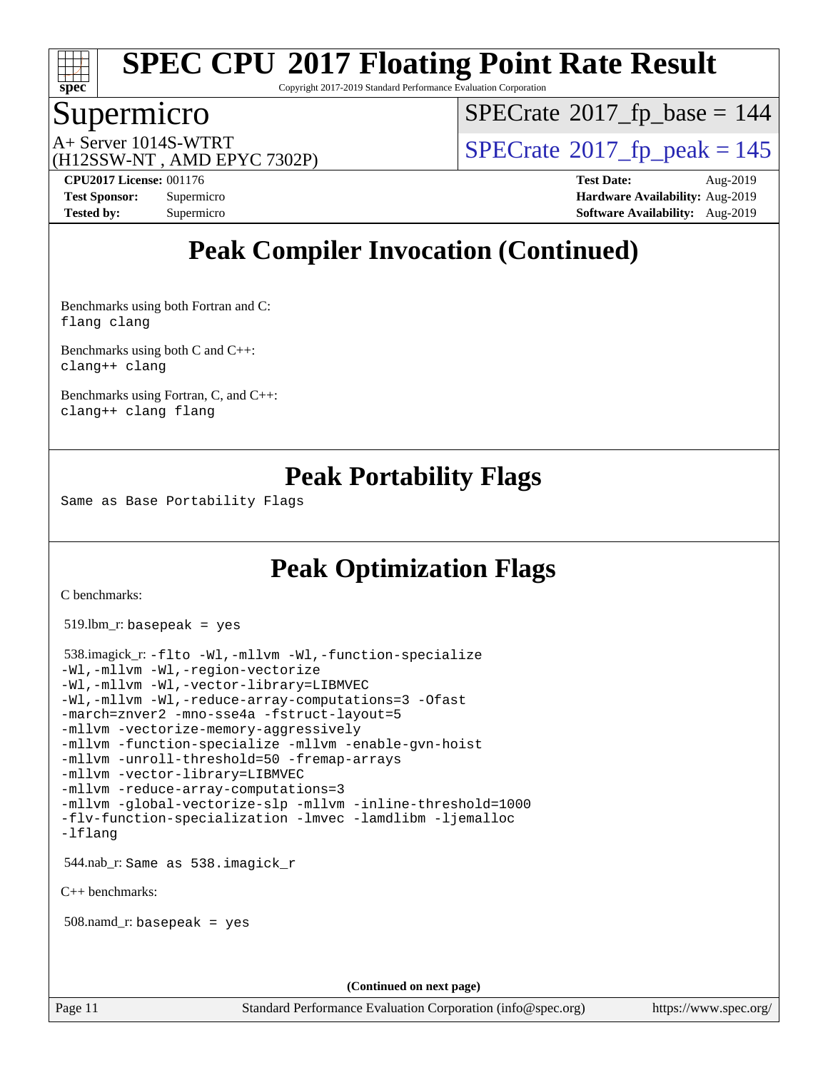

Copyright 2017-2019 Standard Performance Evaluation Corporation

### Supermicro

 $SPECrate$ <sup>®</sup>[2017\\_fp\\_base =](http://www.spec.org/auto/cpu2017/Docs/result-fields.html#SPECrate2017fpbase) 144

(H12SSW-NT , AMD EPYC 7302P)

 $A+$  Server 1014S-WTRT  $\begin{array}{c|c}\n\text{A+Server 1014S-WTRT} & & \text{SPECrate} \n\hline\n\text{B+Server 2017-fp_peak} & = 145\n\end{array}$  $\begin{array}{c|c}\n\text{A+Server 1014S-WTRT} & & \text{SPECrate} \n\hline\n\text{B+Server 2017-fp_peak} & = 145\n\end{array}$  $\begin{array}{c|c}\n\text{A+Server 1014S-WTRT} & & \text{SPECrate} \n\hline\n\text{B+Server 2017-fp_peak} & = 145\n\end{array}$ 

**[CPU2017 License:](http://www.spec.org/auto/cpu2017/Docs/result-fields.html#CPU2017License)** 001176 **[Test Date:](http://www.spec.org/auto/cpu2017/Docs/result-fields.html#TestDate)** Aug-2019 **[Test Sponsor:](http://www.spec.org/auto/cpu2017/Docs/result-fields.html#TestSponsor)** Supermicro **[Hardware Availability:](http://www.spec.org/auto/cpu2017/Docs/result-fields.html#HardwareAvailability)** Aug-2019 **[Tested by:](http://www.spec.org/auto/cpu2017/Docs/result-fields.html#Testedby)** Supermicro **[Software Availability:](http://www.spec.org/auto/cpu2017/Docs/result-fields.html#SoftwareAvailability)** Aug-2019

## **[Peak Compiler Invocation \(Continued\)](http://www.spec.org/auto/cpu2017/Docs/result-fields.html#PeakCompilerInvocation)**

[Benchmarks using both Fortran and C](http://www.spec.org/auto/cpu2017/Docs/result-fields.html#BenchmarksusingbothFortranandC): [flang](http://www.spec.org/cpu2017/results/res2019q3/cpu2017-20190902-17497.flags.html#user_CC_FCpeak_flang) [clang](http://www.spec.org/cpu2017/results/res2019q3/cpu2017-20190902-17497.flags.html#user_CC_FCpeak_clang-c)

[Benchmarks using both C and C++](http://www.spec.org/auto/cpu2017/Docs/result-fields.html#BenchmarksusingbothCandCXX): [clang++](http://www.spec.org/cpu2017/results/res2019q3/cpu2017-20190902-17497.flags.html#user_CC_CXXpeak_clang-cpp) [clang](http://www.spec.org/cpu2017/results/res2019q3/cpu2017-20190902-17497.flags.html#user_CC_CXXpeak_clang-c)

[Benchmarks using Fortran, C, and C++:](http://www.spec.org/auto/cpu2017/Docs/result-fields.html#BenchmarksusingFortranCandCXX) [clang++](http://www.spec.org/cpu2017/results/res2019q3/cpu2017-20190902-17497.flags.html#user_CC_CXX_FCpeak_clang-cpp) [clang](http://www.spec.org/cpu2017/results/res2019q3/cpu2017-20190902-17497.flags.html#user_CC_CXX_FCpeak_clang-c) [flang](http://www.spec.org/cpu2017/results/res2019q3/cpu2017-20190902-17497.flags.html#user_CC_CXX_FCpeak_flang)

## **[Peak Portability Flags](http://www.spec.org/auto/cpu2017/Docs/result-fields.html#PeakPortabilityFlags)**

Same as Base Portability Flags

## **[Peak Optimization Flags](http://www.spec.org/auto/cpu2017/Docs/result-fields.html#PeakOptimizationFlags)**

[C benchmarks](http://www.spec.org/auto/cpu2017/Docs/result-fields.html#Cbenchmarks):

519.lbm\_r: basepeak = yes

```
 538.imagick_r: -flto -Wl,-mllvm -Wl,-function-specialize
-Wl,-mllvm -Wl,-region-vectorize
-Wl,-mllvm -Wl,-vector-library=LIBMVEC
-Wl,-mllvm -Wl,-reduce-array-computations=3 -Ofast
-march=znver2 -mno-sse4a -fstruct-layout=5
-mllvm -vectorize-memory-aggressively
-mllvm -function-specialize -mllvm -enable-gvn-hoist
-mllvm -unroll-threshold=50 -fremap-arrays
-mllvm -vector-library=LIBMVEC
-mllvm -reduce-array-computations=3
-mllvm -global-vectorize-slp -mllvm -inline-threshold=1000
-flv-function-specialization -lmvec -lamdlibm -ljemalloc
-lflang
 544.nab_r: Same as 538.imagick_r
C++ benchmarks: 
 508.namd_r: basepeak = yes
                                     (Continued on next page)
```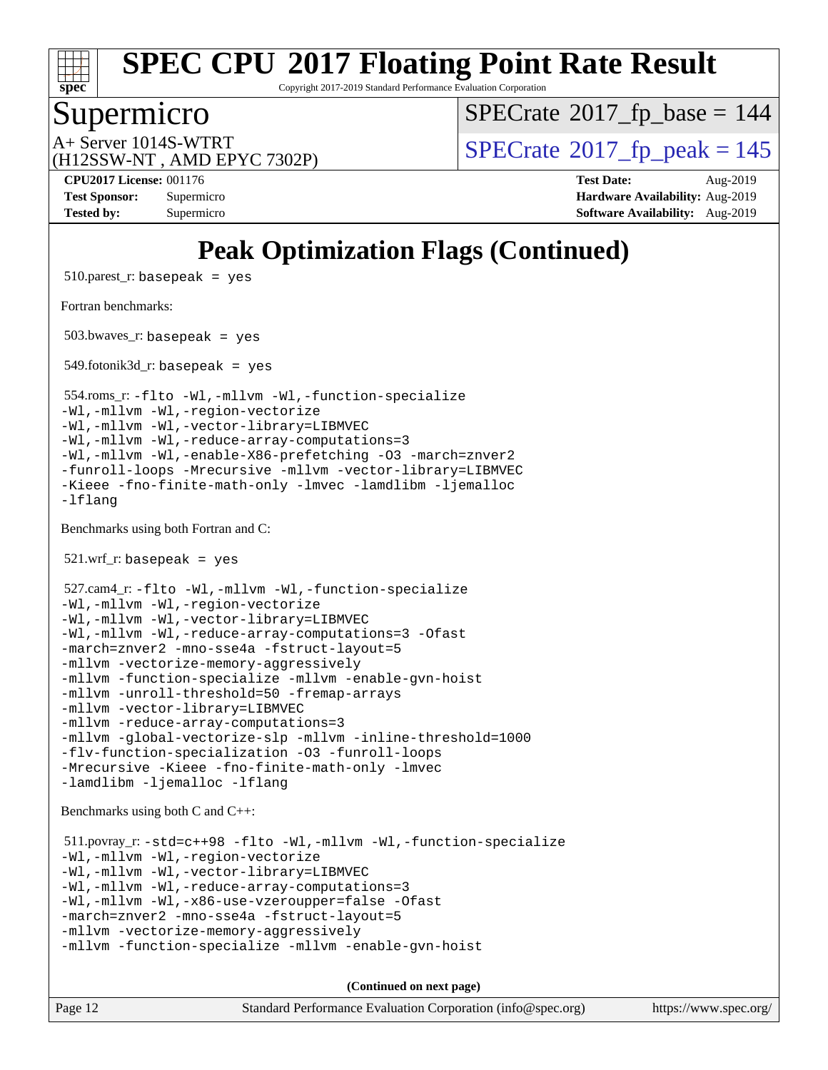

Copyright 2017-2019 Standard Performance Evaluation Corporation

## Supermicro

 $SPECrate$ <sup>®</sup>[2017\\_fp\\_base =](http://www.spec.org/auto/cpu2017/Docs/result-fields.html#SPECrate2017fpbase) 144

(H12SSW-NT , AMD EPYC 7302P)

 $A+$  Server 1014S-WTRT  $\begin{array}{c|c}\n\text{A+Server 1014S-WTRT} & & \text{SPECrate} \n\hline\n\text{B+Server 2017-fp_peak} & = 145\n\end{array}$  $\begin{array}{c|c}\n\text{A+Server 1014S-WTRT} & & \text{SPECrate} \n\hline\n\text{B+Server 2017-fp_peak} & = 145\n\end{array}$  $\begin{array}{c|c}\n\text{A+Server 1014S-WTRT} & & \text{SPECrate} \n\hline\n\text{B+Server 2017-fp_peak} & = 145\n\end{array}$ 

**[CPU2017 License:](http://www.spec.org/auto/cpu2017/Docs/result-fields.html#CPU2017License)** 001176 **[Test Date:](http://www.spec.org/auto/cpu2017/Docs/result-fields.html#TestDate)** Aug-2019 **[Test Sponsor:](http://www.spec.org/auto/cpu2017/Docs/result-fields.html#TestSponsor)** Supermicro **[Hardware Availability:](http://www.spec.org/auto/cpu2017/Docs/result-fields.html#HardwareAvailability)** Aug-2019 **[Tested by:](http://www.spec.org/auto/cpu2017/Docs/result-fields.html#Testedby)** Supermicro **[Software Availability:](http://www.spec.org/auto/cpu2017/Docs/result-fields.html#SoftwareAvailability)** Aug-2019

## **[Peak Optimization Flags \(Continued\)](http://www.spec.org/auto/cpu2017/Docs/result-fields.html#PeakOptimizationFlags)**

 $510.parest_r:$  basepeak = yes [Fortran benchmarks](http://www.spec.org/auto/cpu2017/Docs/result-fields.html#Fortranbenchmarks): 503.bwaves\_r: basepeak = yes  $549.$ fotonik $3d$ <sub>r</sub>: basepeak = yes 554.roms\_r: [-flto](http://www.spec.org/cpu2017/results/res2019q3/cpu2017-20190902-17497.flags.html#user_peakFOPTIMIZELDFLAGS554_roms_r_aocc-flto) [-Wl,-mllvm -Wl,-function-specialize](http://www.spec.org/cpu2017/results/res2019q3/cpu2017-20190902-17497.flags.html#user_peakLDFLAGS554_roms_r_F-function-specialize_7e7e661e57922243ee67c9a1251cb8910e607325179a0ce7f2884e09a6f5d4a5ef0ae4f37e8a2a11c95fc48e931f06dc2b6016f14b511fcb441e048bef1b065a) [-Wl,-mllvm -Wl,-region-vectorize](http://www.spec.org/cpu2017/results/res2019q3/cpu2017-20190902-17497.flags.html#user_peakLDFLAGS554_roms_r_F-region-vectorize_fb6c6b5aa293c88efc6c7c2b52b20755e943585b1fe8658c35afef78727fff56e1a56891413c30e36b8e2a6f9a71126986319243e80eb6110b78b288f533c52b) [-Wl,-mllvm -Wl,-vector-library=LIBMVEC](http://www.spec.org/cpu2017/results/res2019q3/cpu2017-20190902-17497.flags.html#user_peakLDFLAGS554_roms_r_F-use-vector-library_0a14b27fae317f283640384a31f7bfcc2bd4c1d0b5cfc618a3a430800c9b20217b00f61303eff223a3251b4f06ffbc9739dc5296db9d1fbb9ad24a3939d86d66) [-Wl,-mllvm -Wl,-reduce-array-computations=3](http://www.spec.org/cpu2017/results/res2019q3/cpu2017-20190902-17497.flags.html#user_peakLDFLAGS554_roms_r_F-reduce-array-computations_b882aefe7a5dda4e33149f6299762b9a720dace3e498e13756f4c04e5a19edf5315c1f3993de2e61ec41e8c206231f84e05da7040e1bb5d69ba27d10a12507e4) [-Wl,-mllvm -Wl,-enable-X86-prefetching](http://www.spec.org/cpu2017/results/res2019q3/cpu2017-20190902-17497.flags.html#user_peakLDFFLAGS554_roms_r_F-enable-X86-prefetching_362de7b2f7f327d498ff3502bcaa6d8937de40fbbc59a600e539433e6b2cb9ea5e30d4a00c3465ce74a160670b5fcaffd57d10fdc90b0d7ee2c6f387a6bf1aee) [-O3](http://www.spec.org/cpu2017/results/res2019q3/cpu2017-20190902-17497.flags.html#user_peakFOPTIMIZE554_roms_r_F-O3) [-march=znver2](http://www.spec.org/cpu2017/results/res2019q3/cpu2017-20190902-17497.flags.html#user_peakFOPTIMIZE554_roms_r_aocc-march_3e2e19cff2eeef60c5d90b059483627c9ea47eca6d66670dbd53f9185f6439e27eb5e104cf773e9e8ab18c8842ce63e461a3e948d0214bd567ef3ade411bf467) [-funroll-loops](http://www.spec.org/cpu2017/results/res2019q3/cpu2017-20190902-17497.flags.html#user_peakFOPTIMIZE554_roms_r_aocc-unroll-loops) [-Mrecursive](http://www.spec.org/cpu2017/results/res2019q3/cpu2017-20190902-17497.flags.html#user_peakFOPTIMIZE554_roms_r_F-mrecursive_20a145d63f12d5750a899e17d4450b5b8b40330a9bb4af13688ca650e6fb30857bbbe44fb35cdbb895df6e5b2769de0a0d7659f51ff17acfbef6febafec4023f) [-mllvm -vector-library=LIBMVEC](http://www.spec.org/cpu2017/results/res2019q3/cpu2017-20190902-17497.flags.html#user_peakFOPTIMIZE554_roms_r_F-use-vector-library_e584e20b4f7ec96aa109254b65d8e01d864f3d68580371b9d93ed7c338191d4cfce20c3c864632264effc6bbe4c7c38153d02096a342ee92501c4a53204a7871) [-Kieee](http://www.spec.org/cpu2017/results/res2019q3/cpu2017-20190902-17497.flags.html#user_peakEXTRA_FFLAGS554_roms_r_F-kieee) [-fno-finite-math-only](http://www.spec.org/cpu2017/results/res2019q3/cpu2017-20190902-17497.flags.html#user_peakEXTRA_FFLAGS554_roms_r_aocc-fno-finite-math-only) [-lmvec](http://www.spec.org/cpu2017/results/res2019q3/cpu2017-20190902-17497.flags.html#user_peakEXTRA_FLIBSEXTRA_LIBS554_roms_r_F-lmvec) [-lamdlibm](http://www.spec.org/cpu2017/results/res2019q3/cpu2017-20190902-17497.flags.html#user_peakEXTRA_FLIBSEXTRA_LIBS554_roms_r_F-lamdlibm) [-ljemalloc](http://www.spec.org/cpu2017/results/res2019q3/cpu2017-20190902-17497.flags.html#user_peakEXTRA_LIBS554_roms_r_jemalloc-lib) [-lflang](http://www.spec.org/cpu2017/results/res2019q3/cpu2017-20190902-17497.flags.html#user_peakEXTRA_LIBS554_roms_r_F-lflang) [Benchmarks using both Fortran and C](http://www.spec.org/auto/cpu2017/Docs/result-fields.html#BenchmarksusingbothFortranandC): 521.wrf\_r: basepeak = yes 527.cam4\_r: [-flto](http://www.spec.org/cpu2017/results/res2019q3/cpu2017-20190902-17497.flags.html#user_peakCOPTIMIZEFOPTIMIZELDFLAGS527_cam4_r_aocc-flto) [-Wl,-mllvm -Wl,-function-specialize](http://www.spec.org/cpu2017/results/res2019q3/cpu2017-20190902-17497.flags.html#user_peakLDFLAGS527_cam4_r_F-function-specialize_7e7e661e57922243ee67c9a1251cb8910e607325179a0ce7f2884e09a6f5d4a5ef0ae4f37e8a2a11c95fc48e931f06dc2b6016f14b511fcb441e048bef1b065a) [-Wl,-mllvm -Wl,-region-vectorize](http://www.spec.org/cpu2017/results/res2019q3/cpu2017-20190902-17497.flags.html#user_peakLDFLAGS527_cam4_r_F-region-vectorize_fb6c6b5aa293c88efc6c7c2b52b20755e943585b1fe8658c35afef78727fff56e1a56891413c30e36b8e2a6f9a71126986319243e80eb6110b78b288f533c52b) [-Wl,-mllvm -Wl,-vector-library=LIBMVEC](http://www.spec.org/cpu2017/results/res2019q3/cpu2017-20190902-17497.flags.html#user_peakLDFLAGS527_cam4_r_F-use-vector-library_0a14b27fae317f283640384a31f7bfcc2bd4c1d0b5cfc618a3a430800c9b20217b00f61303eff223a3251b4f06ffbc9739dc5296db9d1fbb9ad24a3939d86d66) [-Wl,-mllvm -Wl,-reduce-array-computations=3](http://www.spec.org/cpu2017/results/res2019q3/cpu2017-20190902-17497.flags.html#user_peakLDFLAGS527_cam4_r_F-reduce-array-computations_b882aefe7a5dda4e33149f6299762b9a720dace3e498e13756f4c04e5a19edf5315c1f3993de2e61ec41e8c206231f84e05da7040e1bb5d69ba27d10a12507e4) [-Ofast](http://www.spec.org/cpu2017/results/res2019q3/cpu2017-20190902-17497.flags.html#user_peakCOPTIMIZE527_cam4_r_aocc-Ofast) [-march=znver2](http://www.spec.org/cpu2017/results/res2019q3/cpu2017-20190902-17497.flags.html#user_peakCOPTIMIZEFOPTIMIZE527_cam4_r_aocc-march_3e2e19cff2eeef60c5d90b059483627c9ea47eca6d66670dbd53f9185f6439e27eb5e104cf773e9e8ab18c8842ce63e461a3e948d0214bd567ef3ade411bf467) [-mno-sse4a](http://www.spec.org/cpu2017/results/res2019q3/cpu2017-20190902-17497.flags.html#user_peakCOPTIMIZE527_cam4_r_F-mno-sse4a) [-fstruct-layout=5](http://www.spec.org/cpu2017/results/res2019q3/cpu2017-20190902-17497.flags.html#user_peakCOPTIMIZE527_cam4_r_F-struct-layout_0de9d3561e9f54a54e0843cce081bd13a08ab3e9a82696f3346606c2e11360c37113781019b02fa128d9f650e68f1ffd209bab5c3a026c1ad23e4e7f60646b23) [-mllvm -vectorize-memory-aggressively](http://www.spec.org/cpu2017/results/res2019q3/cpu2017-20190902-17497.flags.html#user_peakCOPTIMIZE527_cam4_r_F-vectorize-memory-aggressively_24b72a4417f50ade9e698c5b3bed87ab456cc6fc8ec6439480cb84f36ad6a3975af6e87206dea402e3871a1464ff3d60bc798e0250f330177ba629a260df1857) [-mllvm -function-specialize](http://www.spec.org/cpu2017/results/res2019q3/cpu2017-20190902-17497.flags.html#user_peakCOPTIMIZE527_cam4_r_F-function-specialize_233b3bdba86027f1b094368157e481c5bc59f40286dc25bfadc1858dcd5745c24fd30d5f188710db7fea399bcc9f44a80b3ce3aacc70a8870250c3ae5e1f35b8) [-mllvm -enable-gvn-hoist](http://www.spec.org/cpu2017/results/res2019q3/cpu2017-20190902-17497.flags.html#user_peakCOPTIMIZE527_cam4_r_F-enable-gvn-hoist_e5856354646dd6ca1333a0ad99b817e4cf8932b91b82809fd8fd47ceff7b22a89eba5c98fd3e3fa5200368fd772cec3dd56abc3c8f7b655a71b9f9848dddedd5) [-mllvm -unroll-threshold=50](http://www.spec.org/cpu2017/results/res2019q3/cpu2017-20190902-17497.flags.html#user_peakCOPTIMIZE527_cam4_r_F-unroll-threshold_458874500b2c105d6d5cb4d7a611c40e2b16e9e3d26b355fea72d644c3673b4de4b3932662f0ed3dbec75c491a13da2d2ca81180bd779dc531083ef1e1e549dc) [-fremap-arrays](http://www.spec.org/cpu2017/results/res2019q3/cpu2017-20190902-17497.flags.html#user_peakCOPTIMIZE527_cam4_r_F-fremap-arrays) [-mllvm -vector-library=LIBMVEC](http://www.spec.org/cpu2017/results/res2019q3/cpu2017-20190902-17497.flags.html#user_peakCOPTIMIZEFOPTIMIZE527_cam4_r_F-use-vector-library_e584e20b4f7ec96aa109254b65d8e01d864f3d68580371b9d93ed7c338191d4cfce20c3c864632264effc6bbe4c7c38153d02096a342ee92501c4a53204a7871) [-mllvm -reduce-array-computations=3](http://www.spec.org/cpu2017/results/res2019q3/cpu2017-20190902-17497.flags.html#user_peakCOPTIMIZE527_cam4_r_F-reduce-array-computations_aceadb8604558b566e0e3a0d7a3c1533923dd1fa0889614e16288028922629a28d5695c24d3b3be4306b1e311c54317dfffe3a2e57fbcaabc737a1798de39145) [-mllvm -global-vectorize-slp](http://www.spec.org/cpu2017/results/res2019q3/cpu2017-20190902-17497.flags.html#user_peakCOPTIMIZE527_cam4_r_F-global-vectorize-slp_a3935e8627af4ced727033b1ffd4db27f4d541a363d28d82bf4c2925fb3a0fd4115d6e42d13a2829f9e024d6608eb67a85cb49770f2da5c5ac8dbc737afad603) [-mllvm -inline-threshold=1000](http://www.spec.org/cpu2017/results/res2019q3/cpu2017-20190902-17497.flags.html#user_peakCOPTIMIZE527_cam4_r_dragonegg-llvm-inline-threshold_b7832241b0a6397e4ecdbaf0eb7defdc10f885c2a282fa3240fdc99844d543fda39cf8a4a9dccf68cf19b5438ac3b455264f478df15da0f4988afa40d8243bab) [-flv-function-specialization](http://www.spec.org/cpu2017/results/res2019q3/cpu2017-20190902-17497.flags.html#user_peakCOPTIMIZE527_cam4_r_F-flv-function-specialization) [-O3](http://www.spec.org/cpu2017/results/res2019q3/cpu2017-20190902-17497.flags.html#user_peakFOPTIMIZE527_cam4_r_F-O3) [-funroll-loops](http://www.spec.org/cpu2017/results/res2019q3/cpu2017-20190902-17497.flags.html#user_peakFOPTIMIZE527_cam4_r_aocc-unroll-loops) [-Mrecursive](http://www.spec.org/cpu2017/results/res2019q3/cpu2017-20190902-17497.flags.html#user_peakFOPTIMIZE527_cam4_r_F-mrecursive_20a145d63f12d5750a899e17d4450b5b8b40330a9bb4af13688ca650e6fb30857bbbe44fb35cdbb895df6e5b2769de0a0d7659f51ff17acfbef6febafec4023f) [-Kieee](http://www.spec.org/cpu2017/results/res2019q3/cpu2017-20190902-17497.flags.html#user_peakEXTRA_FFLAGS527_cam4_r_F-kieee) [-fno-finite-math-only](http://www.spec.org/cpu2017/results/res2019q3/cpu2017-20190902-17497.flags.html#user_peakEXTRA_FFLAGS527_cam4_r_aocc-fno-finite-math-only) [-lmvec](http://www.spec.org/cpu2017/results/res2019q3/cpu2017-20190902-17497.flags.html#user_peakEXTRA_FLIBSEXTRA_LIBS527_cam4_r_F-lmvec) [-lamdlibm](http://www.spec.org/cpu2017/results/res2019q3/cpu2017-20190902-17497.flags.html#user_peakEXTRA_FLIBSEXTRA_LIBS527_cam4_r_F-lamdlibm) [-ljemalloc](http://www.spec.org/cpu2017/results/res2019q3/cpu2017-20190902-17497.flags.html#user_peakEXTRA_LIBS527_cam4_r_jemalloc-lib) [-lflang](http://www.spec.org/cpu2017/results/res2019q3/cpu2017-20190902-17497.flags.html#user_peakEXTRA_LIBS527_cam4_r_F-lflang) [Benchmarks using both C and C++](http://www.spec.org/auto/cpu2017/Docs/result-fields.html#BenchmarksusingbothCandCXX): 511.povray\_r: [-std=c++98](http://www.spec.org/cpu2017/results/res2019q3/cpu2017-20190902-17497.flags.html#user_peakCXXLD511_povray_r_std-cpp) [-flto](http://www.spec.org/cpu2017/results/res2019q3/cpu2017-20190902-17497.flags.html#user_peakCOPTIMIZECXXOPTIMIZELDFLAGS511_povray_r_aocc-flto) [-Wl,-mllvm -Wl,-function-specialize](http://www.spec.org/cpu2017/results/res2019q3/cpu2017-20190902-17497.flags.html#user_peakLDFLAGS511_povray_r_F-function-specialize_7e7e661e57922243ee67c9a1251cb8910e607325179a0ce7f2884e09a6f5d4a5ef0ae4f37e8a2a11c95fc48e931f06dc2b6016f14b511fcb441e048bef1b065a) [-Wl,-mllvm -Wl,-region-vectorize](http://www.spec.org/cpu2017/results/res2019q3/cpu2017-20190902-17497.flags.html#user_peakLDFLAGS511_povray_r_F-region-vectorize_fb6c6b5aa293c88efc6c7c2b52b20755e943585b1fe8658c35afef78727fff56e1a56891413c30e36b8e2a6f9a71126986319243e80eb6110b78b288f533c52b) [-Wl,-mllvm -Wl,-vector-library=LIBMVEC](http://www.spec.org/cpu2017/results/res2019q3/cpu2017-20190902-17497.flags.html#user_peakLDFLAGS511_povray_r_F-use-vector-library_0a14b27fae317f283640384a31f7bfcc2bd4c1d0b5cfc618a3a430800c9b20217b00f61303eff223a3251b4f06ffbc9739dc5296db9d1fbb9ad24a3939d86d66) [-Wl,-mllvm -Wl,-reduce-array-computations=3](http://www.spec.org/cpu2017/results/res2019q3/cpu2017-20190902-17497.flags.html#user_peakLDFLAGS511_povray_r_F-reduce-array-computations_b882aefe7a5dda4e33149f6299762b9a720dace3e498e13756f4c04e5a19edf5315c1f3993de2e61ec41e8c206231f84e05da7040e1bb5d69ba27d10a12507e4) [-Wl,-mllvm -Wl,-x86-use-vzeroupper=false](http://www.spec.org/cpu2017/results/res2019q3/cpu2017-20190902-17497.flags.html#user_peakLDCXXFLAGS511_povray_r_F-no-vzeroupper_f792211b0552b0142c11cf651c85f88d7eca3e3e6d4ab29ab8b0b7be9c7d83df7aebb846b5dded1424ec84d39acb59d058815f97bc3ae9de4ba00ee4e2945c83) [-Ofast](http://www.spec.org/cpu2017/results/res2019q3/cpu2017-20190902-17497.flags.html#user_peakCOPTIMIZECXXOPTIMIZE511_povray_r_aocc-Ofast) [-march=znver2](http://www.spec.org/cpu2017/results/res2019q3/cpu2017-20190902-17497.flags.html#user_peakCOPTIMIZECXXOPTIMIZE511_povray_r_aocc-march_3e2e19cff2eeef60c5d90b059483627c9ea47eca6d66670dbd53f9185f6439e27eb5e104cf773e9e8ab18c8842ce63e461a3e948d0214bd567ef3ade411bf467) [-mno-sse4a](http://www.spec.org/cpu2017/results/res2019q3/cpu2017-20190902-17497.flags.html#user_peakCOPTIMIZE511_povray_r_F-mno-sse4a) [-fstruct-layout=5](http://www.spec.org/cpu2017/results/res2019q3/cpu2017-20190902-17497.flags.html#user_peakCOPTIMIZE511_povray_r_F-struct-layout_0de9d3561e9f54a54e0843cce081bd13a08ab3e9a82696f3346606c2e11360c37113781019b02fa128d9f650e68f1ffd209bab5c3a026c1ad23e4e7f60646b23) [-mllvm -vectorize-memory-aggressively](http://www.spec.org/cpu2017/results/res2019q3/cpu2017-20190902-17497.flags.html#user_peakCOPTIMIZE511_povray_r_F-vectorize-memory-aggressively_24b72a4417f50ade9e698c5b3bed87ab456cc6fc8ec6439480cb84f36ad6a3975af6e87206dea402e3871a1464ff3d60bc798e0250f330177ba629a260df1857) [-mllvm -function-specialize](http://www.spec.org/cpu2017/results/res2019q3/cpu2017-20190902-17497.flags.html#user_peakCOPTIMIZE511_povray_r_F-function-specialize_233b3bdba86027f1b094368157e481c5bc59f40286dc25bfadc1858dcd5745c24fd30d5f188710db7fea399bcc9f44a80b3ce3aacc70a8870250c3ae5e1f35b8) [-mllvm -enable-gvn-hoist](http://www.spec.org/cpu2017/results/res2019q3/cpu2017-20190902-17497.flags.html#user_peakCOPTIMIZE511_povray_r_F-enable-gvn-hoist_e5856354646dd6ca1333a0ad99b817e4cf8932b91b82809fd8fd47ceff7b22a89eba5c98fd3e3fa5200368fd772cec3dd56abc3c8f7b655a71b9f9848dddedd5)

**(Continued on next page)**